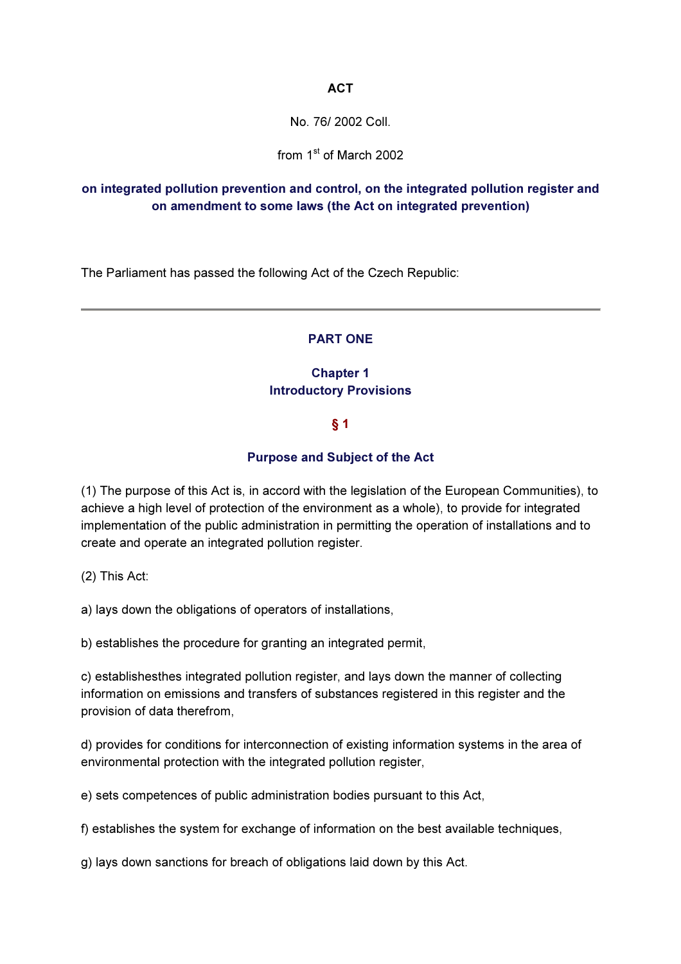### **ACT**

No. 76/ 2002 Coll.

from 1<sup>st</sup> of March 2002

# on integrated pollution prevention and control, on the integrated pollution register and on amendment to some laws (the Act on integrated prevention)

The Parliament has passed the following Act of the Czech Republic:

### PART ONE

# Chapter 1 Introductory Provisions

### § 1

### Purpose and Subject of the Act

(1) The purpose of this Act is, in accord with the legislation of the European Communities), to achieve a high level of protection of the environment as a whole), to provide for integrated implementation of the public administration in permitting the operation of installations and to create and operate an integrated pollution register.

(2) This Act:

a) lays down the obligations of operators of installations,

b) establishes the procedure for granting an integrated permit,

c) establishesthes integrated pollution register, and lays down the manner of collecting information on emissions and transfers of substances registered in this register and the provision of data therefrom,

d) provides for conditions for interconnection of existing information systems in the area of environmental protection with the integrated pollution register,

e) sets competences of public administration bodies pursuant to this Act,

f) establishes the system for exchange of information on the best available techniques,

g) lays down sanctions for breach of obligations laid down by this Act.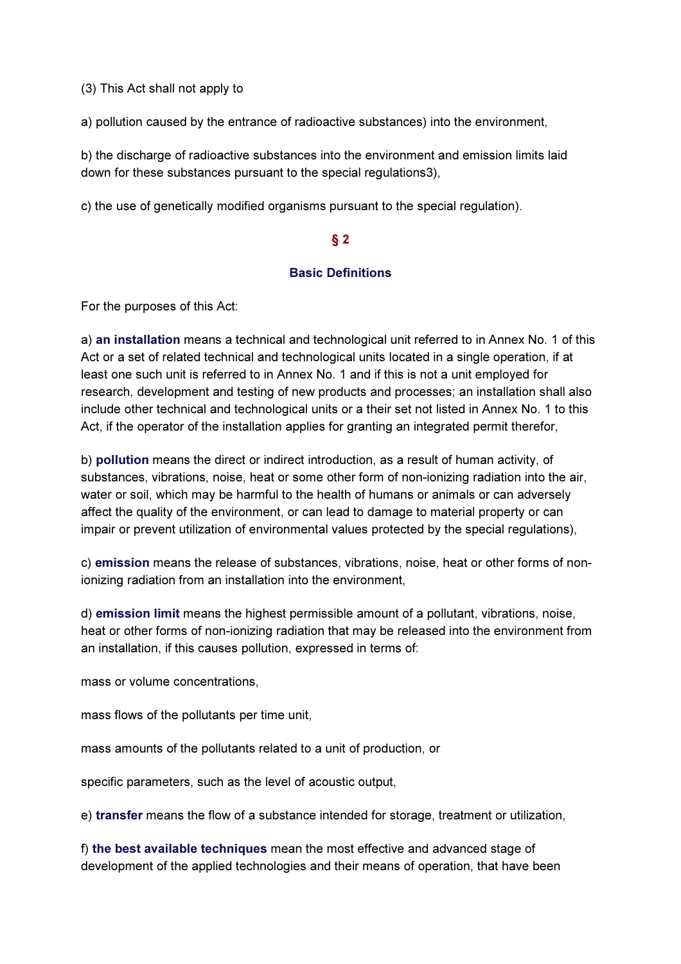(3) This Act shall not apply to

a) pollution caused by the entrance of radioactive substances) into the environment,

b) the discharge of radioactive substances into the environment and emission limits laid down for these substances pursuant to the special regulations3),

c) the use of genetically modified organisms pursuant to the special regulation).

### § 2

### Basic Definitions

For the purposes of this Act:

a) an installation means a technical and technological unit referred to in Annex No. 1 of this Act or a set of related technical and technological units located in a single operation, if at least one such unit is referred to in Annex No. 1 and if this is not a unit employed for research, development and testing of new products and processes; an installation shall also include other technical and technological units or a their set not listed in Annex No. 1 to this Act, if the operator of the installation applies for granting an integrated permit therefor,

b) pollution means the direct or indirect introduction, as a result of human activity, of substances, vibrations, noise, heat or some other form of non-ionizing radiation into the air, water or soil, which may be harmful to the health of humans or animals or can adversely affect the quality of the environment, or can lead to damage to material property or can impair or prevent utilization of environmental values protected by the special regulations),

c) emission means the release of substances, vibrations, noise, heat or other forms of nonionizing radiation from an installation into the environment,

d) emission limit means the highest permissible amount of a pollutant, vibrations, noise, heat or other forms of non-ionizing radiation that may be released into the environment from an installation, if this causes pollution, expressed in terms of:

mass or volume concentrations,

mass flows of the pollutants per time unit,

mass amounts of the pollutants related to a unit of production, or

specific parameters, such as the level of acoustic output,

e) transfer means the flow of a substance intended for storage, treatment or utilization,

f) the best available techniques mean the most effective and advanced stage of development of the applied technologies and their means of operation, that have been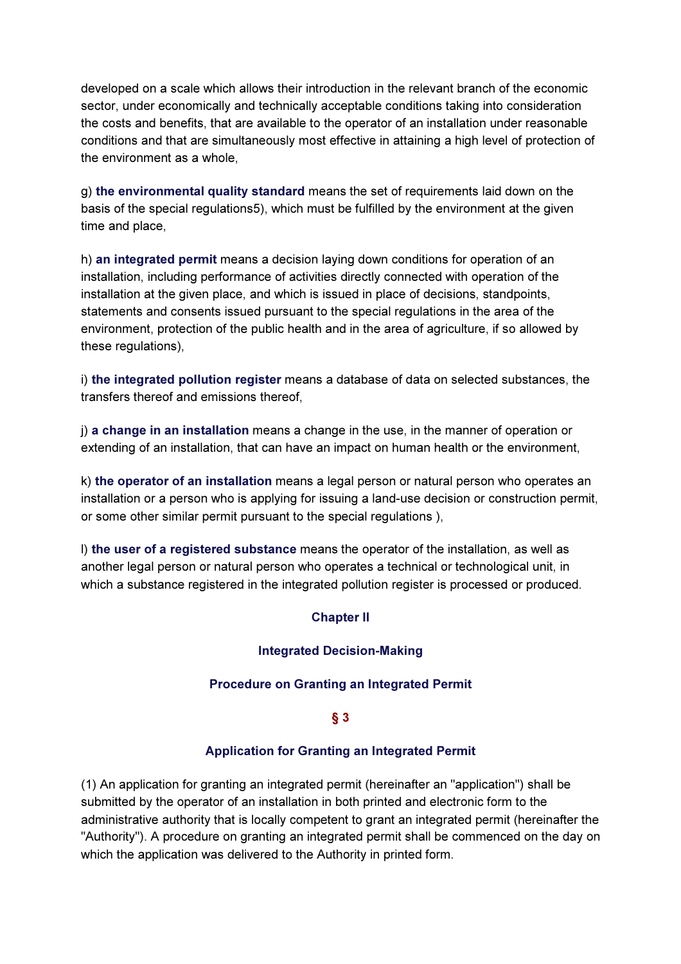developed on a scale which allows their introduction in the relevant branch of the economic sector, under economically and technically acceptable conditions taking into consideration the costs and benefits, that are available to the operator of an installation under reasonable conditions and that are simultaneously most effective in attaining a high level of protection of the environment as a whole,

g) the environmental quality standard means the set of requirements laid down on the basis of the special regulations5), which must be fulfilled by the environment at the given time and place,

h) an integrated permit means a decision laying down conditions for operation of an installation, including performance of activities directly connected with operation of the installation at the given place, and which is issued in place of decisions, standpoints, statements and consents issued pursuant to the special regulations in the area of the environment, protection of the public health and in the area of agriculture, if so allowed by these regulations),

i) the integrated pollution register means a database of data on selected substances, the transfers thereof and emissions thereof,

j) a change in an installation means a change in the use, in the manner of operation or extending of an installation, that can have an impact on human health or the environment,

k) the operator of an installation means a legal person or natural person who operates an installation or a person who is applying for issuing a land-use decision or construction permit, or some other similar permit pursuant to the special regulations ),

l) the user of a registered substance means the operator of the installation, as well as another legal person or natural person who operates a technical or technological unit, in which a substance registered in the integrated pollution register is processed or produced.

# Chapter II

### Integrated Decision-Making

### Procedure on Granting an Integrated Permit

### § 3

#### Application for Granting an Integrated Permit

(1) An application for granting an integrated permit (hereinafter an "application") shall be submitted by the operator of an installation in both printed and electronic form to the administrative authority that is locally competent to grant an integrated permit (hereinafter the "Authority"). A procedure on granting an integrated permit shall be commenced on the day on which the application was delivered to the Authority in printed form.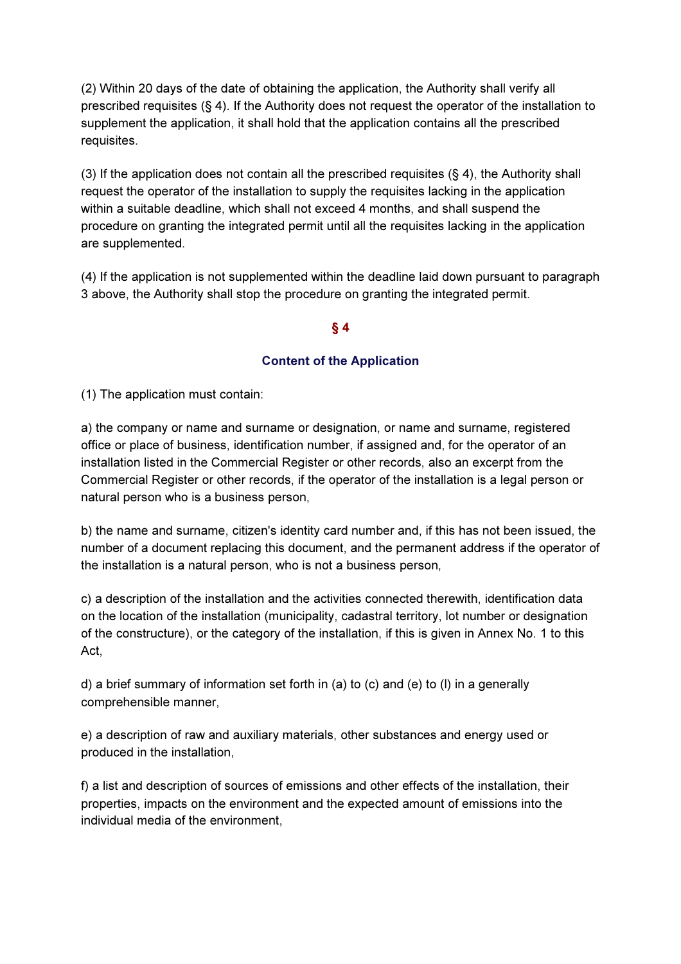(2) Within 20 days of the date of obtaining the application, the Authority shall verify all prescribed requisites (§ 4). If the Authority does not request the operator of the installation to supplement the application, it shall hold that the application contains all the prescribed requisites.

(3) If the application does not contain all the prescribed requisites (§ 4), the Authority shall request the operator of the installation to supply the requisites lacking in the application within a suitable deadline, which shall not exceed 4 months, and shall suspend the procedure on granting the integrated permit until all the requisites lacking in the application are supplemented.

(4) If the application is not supplemented within the deadline laid down pursuant to paragraph 3 above, the Authority shall stop the procedure on granting the integrated permit.

### § 4

### Content of the Application

(1) The application must contain:

a) the company or name and surname or designation, or name and surname, registered office or place of business, identification number, if assigned and, for the operator of an installation listed in the Commercial Register or other records, also an excerpt from the Commercial Register or other records, if the operator of the installation is a legal person or natural person who is a business person,

b) the name and surname, citizen's identity card number and, if this has not been issued, the number of a document replacing this document, and the permanent address if the operator of the installation is a natural person, who is not a business person,

c) a description of the installation and the activities connected therewith, identification data on the location of the installation (municipality, cadastral territory, lot number or designation of the constructure), or the category of the installation, if this is given in Annex No. 1 to this Act,

d) a brief summary of information set forth in (a) to (c) and (e) to (l) in a generally comprehensible manner,

e) a description of raw and auxiliary materials, other substances and energy used or produced in the installation,

f) a list and description of sources of emissions and other effects of the installation, their properties, impacts on the environment and the expected amount of emissions into the individual media of the environment,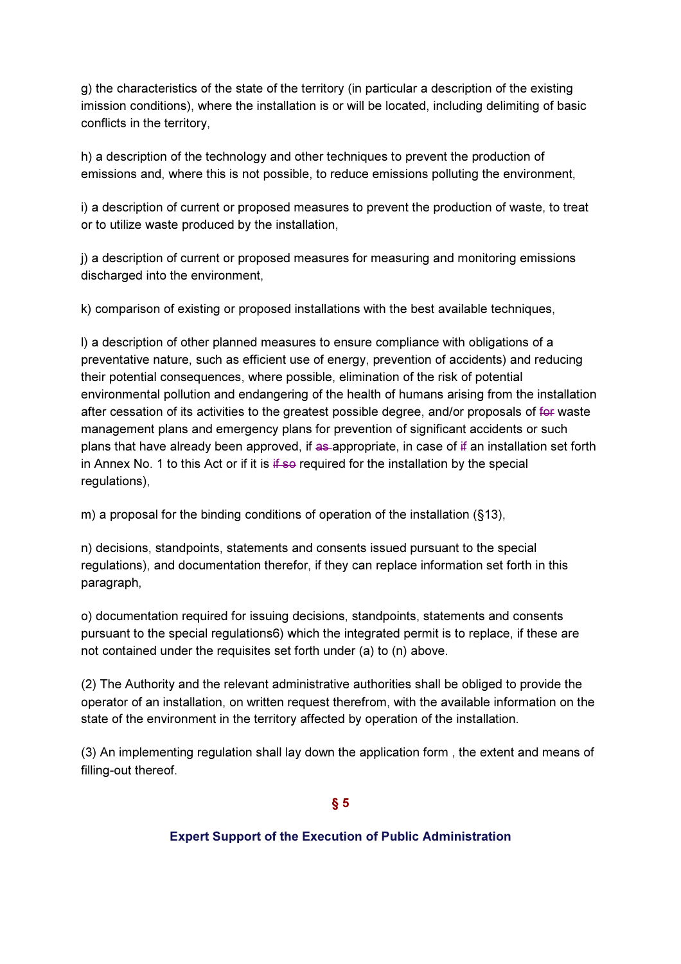g) the characteristics of the state of the territory (in particular a description of the existing imission conditions), where the installation is or will be located, including delimiting of basic conflicts in the territory,

h) a description of the technology and other techniques to prevent the production of emissions and, where this is not possible, to reduce emissions polluting the environment,

i) a description of current or proposed measures to prevent the production of waste, to treat or to utilize waste produced by the installation,

j) a description of current or proposed measures for measuring and monitoring emissions discharged into the environment,

k) comparison of existing or proposed installations with the best available techniques,

l) a description of other planned measures to ensure compliance with obligations of a preventative nature, such as efficient use of energy, prevention of accidents) and reducing their potential consequences, where possible, elimination of the risk of potential environmental pollution and endangering of the health of humans arising from the installation after cessation of its activities to the greatest possible degree, and/or proposals of for waste management plans and emergency plans for prevention of significant accidents or such plans that have already been approved, if as appropriate, in case of  $\ddot{f}$  an installation set forth in Annex No. 1 to this Act or if it is  $\frac{1}{2}$  if so required for the installation by the special regulations),

m) a proposal for the binding conditions of operation of the installation (§13),

n) decisions, standpoints, statements and consents issued pursuant to the special regulations), and documentation therefor, if they can replace information set forth in this paragraph,

o) documentation required for issuing decisions, standpoints, statements and consents pursuant to the special regulations6) which the integrated permit is to replace, if these are not contained under the requisites set forth under (a) to (n) above.

(2) The Authority and the relevant administrative authorities shall be obliged to provide the operator of an installation, on written request therefrom, with the available information on the state of the environment in the territory affected by operation of the installation.

(3) An implementing regulation shall lay down the application form , the extent and means of filling-out thereof.

§ 5

### Expert Support of the Execution of Public Administration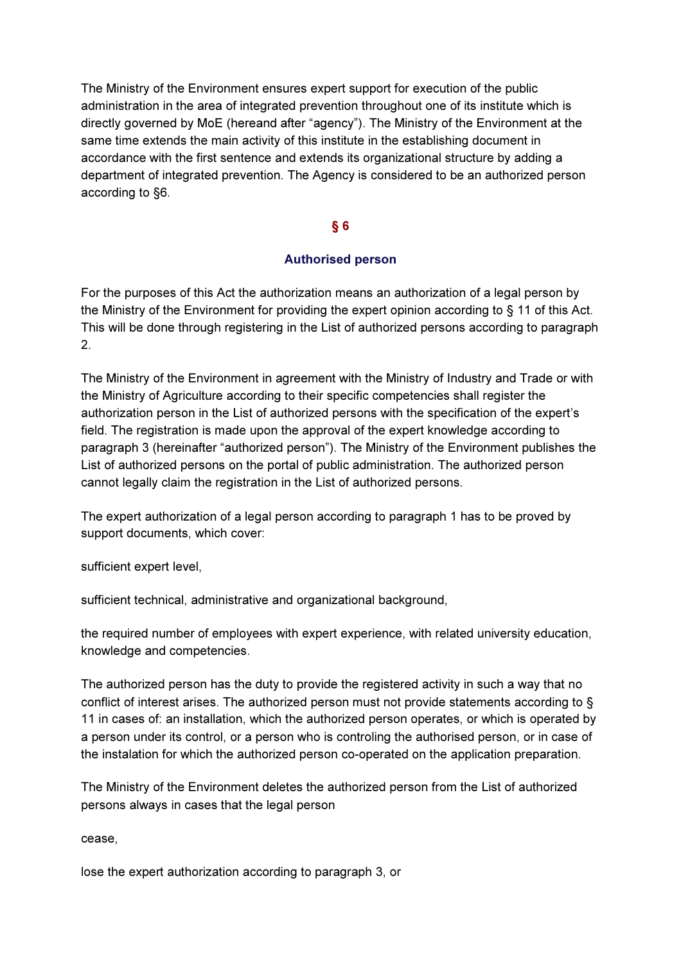The Ministry of the Environment ensures expert support for execution of the public administration in the area of integrated prevention throughout one of its institute which is directly governed by MoE (hereand after "agency"). The Ministry of the Environment at the same time extends the main activity of this institute in the establishing document in accordance with the first sentence and extends its organizational structure by adding a department of integrated prevention. The Agency is considered to be an authorized person according to §6.

### § 6

### Authorised person

For the purposes of this Act the authorization means an authorization of a legal person by the Ministry of the Environment for providing the expert opinion according to § 11 of this Act. This will be done through registering in the List of authorized persons according to paragraph 2.

The Ministry of the Environment in agreement with the Ministry of Industry and Trade or with the Ministry of Agriculture according to their specific competencies shall register the authorization person in the List of authorized persons with the specification of the expert's field. The registration is made upon the approval of the expert knowledge according to paragraph 3 (hereinafter "authorized person"). The Ministry of the Environment publishes the List of authorized persons on the portal of public administration. The authorized person cannot legally claim the registration in the List of authorized persons.

The expert authorization of a legal person according to paragraph 1 has to be proved by support documents, which cover:

sufficient expert level,

sufficient technical, administrative and organizational background,

the required number of employees with expert experience, with related university education, knowledge and competencies.

The authorized person has the duty to provide the registered activity in such a way that no conflict of interest arises. The authorized person must not provide statements according to § 11 in cases of: an installation, which the authorized person operates, or which is operated by a person under its control, or a person who is controling the authorised person, or in case of the instalation for which the authorized person co-operated on the application preparation.

The Ministry of the Environment deletes the authorized person from the List of authorized persons always in cases that the legal person

cease,

lose the expert authorization according to paragraph 3, or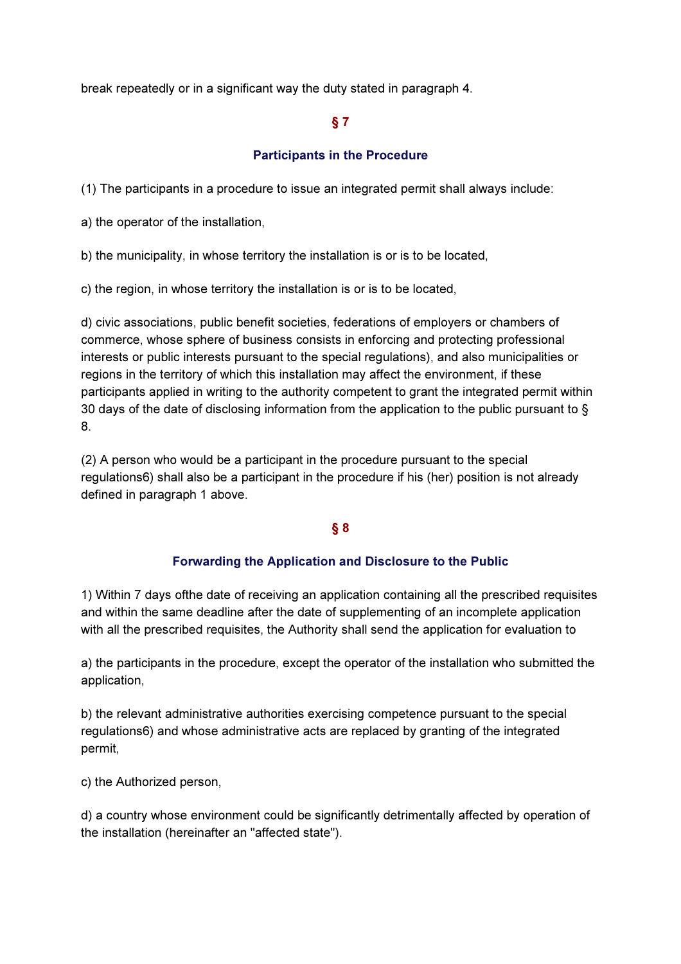break repeatedly or in a significant way the duty stated in paragraph 4.

# § 7

# Participants in the Procedure

(1) The participants in a procedure to issue an integrated permit shall always include:

a) the operator of the installation,

b) the municipality, in whose territory the installation is or is to be located,

c) the region, in whose territory the installation is or is to be located,

d) civic associations, public benefit societies, federations of employers or chambers of commerce, whose sphere of business consists in enforcing and protecting professional interests or public interests pursuant to the special regulations), and also municipalities or regions in the territory of which this installation may affect the environment, if these participants applied in writing to the authority competent to grant the integrated permit within 30 days of the date of disclosing information from the application to the public pursuant to § 8.

(2) A person who would be a participant in the procedure pursuant to the special regulations6) shall also be a participant in the procedure if his (her) position is not already defined in paragraph 1 above.

# § 8

### Forwarding the Application and Disclosure to the Public

1) Within 7 days ofthe date of receiving an application containing all the prescribed requisites and within the same deadline after the date of supplementing of an incomplete application with all the prescribed requisites, the Authority shall send the application for evaluation to

a) the participants in the procedure, except the operator of the installation who submitted the application,

b) the relevant administrative authorities exercising competence pursuant to the special regulations6) and whose administrative acts are replaced by granting of the integrated permit,

c) the Authorized person,

d) a country whose environment could be significantly detrimentally affected by operation of the installation (hereinafter an "affected state").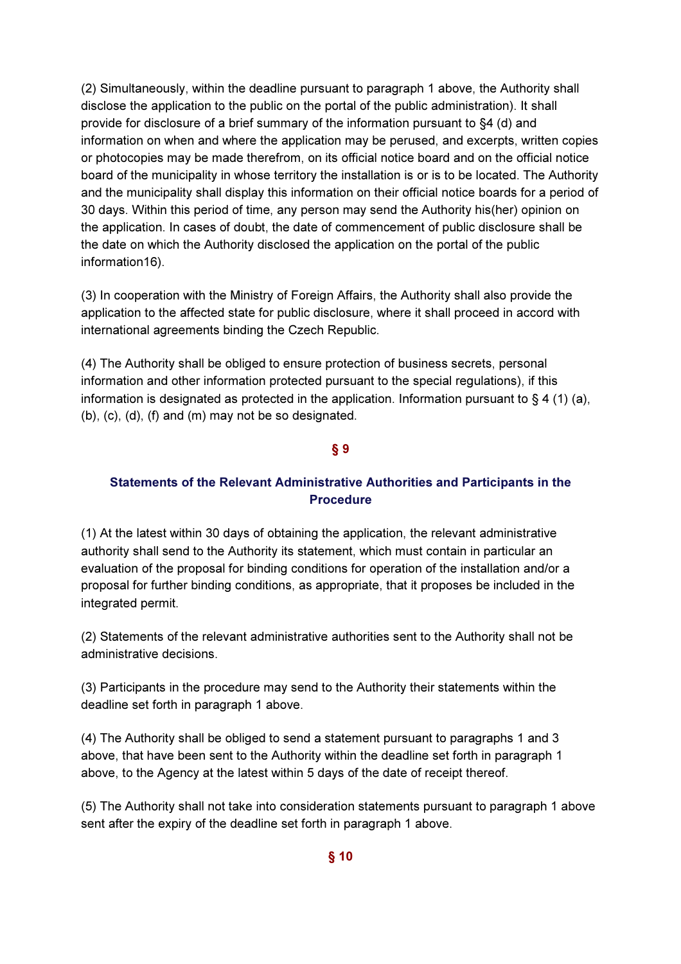(2) Simultaneously, within the deadline pursuant to paragraph 1 above, the Authority shall disclose the application to the public on the portal of the public administration). It shall provide for disclosure of a brief summary of the information pursuant to §4 (d) and information on when and where the application may be perused, and excerpts, written copies or photocopies may be made therefrom, on its official notice board and on the official notice board of the municipality in whose territory the installation is or is to be located. The Authority and the municipality shall display this information on their official notice boards for a period of 30 days. Within this period of time, any person may send the Authority his(her) opinion on the application. In cases of doubt, the date of commencement of public disclosure shall be the date on which the Authority disclosed the application on the portal of the public information16).

(3) In cooperation with the Ministry of Foreign Affairs, the Authority shall also provide the application to the affected state for public disclosure, where it shall proceed in accord with international agreements binding the Czech Republic.

(4) The Authority shall be obliged to ensure protection of business secrets, personal information and other information protected pursuant to the special regulations), if this information is designated as protected in the application. Information pursuant to  $\S 4$  (1) (a), (b), (c), (d), (f) and (m) may not be so designated.

#### § 9

# Statements of the Relevant Administrative Authorities and Participants in the Procedure

(1) At the latest within 30 days of obtaining the application, the relevant administrative authority shall send to the Authority its statement, which must contain in particular an evaluation of the proposal for binding conditions for operation of the installation and/or a proposal for further binding conditions, as appropriate, that it proposes be included in the integrated permit.

(2) Statements of the relevant administrative authorities sent to the Authority shall not be administrative decisions.

(3) Participants in the procedure may send to the Authority their statements within the deadline set forth in paragraph 1 above.

(4) The Authority shall be obliged to send a statement pursuant to paragraphs 1 and 3 above, that have been sent to the Authority within the deadline set forth in paragraph 1 above, to the Agency at the latest within 5 days of the date of receipt thereof.

(5) The Authority shall not take into consideration statements pursuant to paragraph 1 above sent after the expiry of the deadline set forth in paragraph 1 above.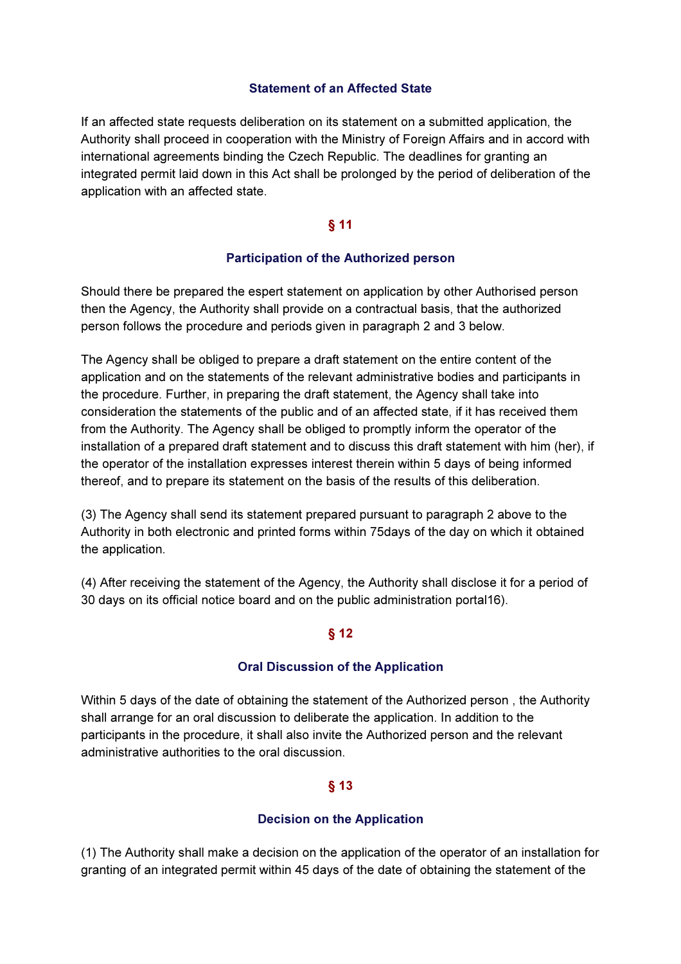### Statement of an Affected State

If an affected state requests deliberation on its statement on a submitted application, the Authority shall proceed in cooperation with the Ministry of Foreign Affairs and in accord with international agreements binding the Czech Republic. The deadlines for granting an integrated permit laid down in this Act shall be prolonged by the period of deliberation of the application with an affected state.

# § 11

### Participation of the Authorized person

Should there be prepared the espert statement on application by other Authorised person then the Agency, the Authority shall provide on a contractual basis, that the authorized person follows the procedure and periods given in paragraph 2 and 3 below.

The Agency shall be obliged to prepare a draft statement on the entire content of the application and on the statements of the relevant administrative bodies and participants in the procedure. Further, in preparing the draft statement, the Agency shall take into consideration the statements of the public and of an affected state, if it has received them from the Authority. The Agency shall be obliged to promptly inform the operator of the installation of a prepared draft statement and to discuss this draft statement with him (her), if the operator of the installation expresses interest therein within 5 days of being informed thereof, and to prepare its statement on the basis of the results of this deliberation.

(3) The Agency shall send its statement prepared pursuant to paragraph 2 above to the Authority in both electronic and printed forms within 75days of the day on which it obtained the application.

(4) After receiving the statement of the Agency, the Authority shall disclose it for a period of 30 days on its official notice board and on the public administration portal16).

### § 12

# Oral Discussion of the Application

Within 5 days of the date of obtaining the statement of the Authorized person , the Authority shall arrange for an oral discussion to deliberate the application. In addition to the participants in the procedure, it shall also invite the Authorized person and the relevant administrative authorities to the oral discussion.

# § 13

# Decision on the Application

(1) The Authority shall make a decision on the application of the operator of an installation for granting of an integrated permit within 45 days of the date of obtaining the statement of the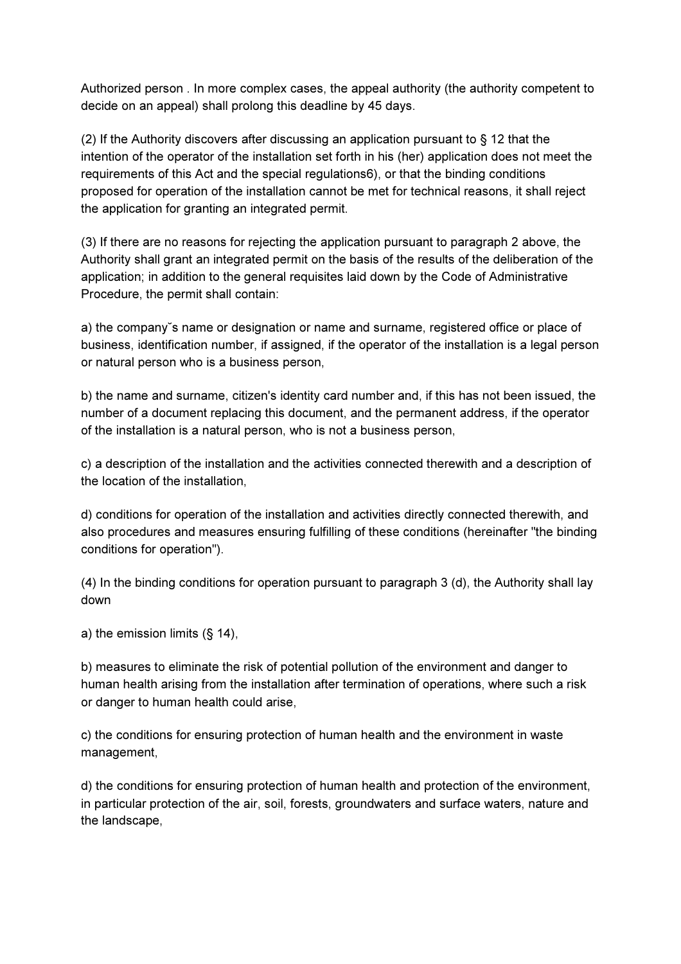Authorized person . In more complex cases, the appeal authority (the authority competent to decide on an appeal) shall prolong this deadline by 45 days.

(2) If the Authority discovers after discussing an application pursuant to § 12 that the intention of the operator of the installation set forth in his (her) application does not meet the requirements of this Act and the special regulations6), or that the binding conditions proposed for operation of the installation cannot be met for technical reasons, it shall reject the application for granting an integrated permit.

(3) If there are no reasons for rejecting the application pursuant to paragraph 2 above, the Authority shall grant an integrated permit on the basis of the results of the deliberation of the application; in addition to the general requisites laid down by the Code of Administrative Procedure, the permit shall contain:

a) the company˘s name or designation or name and surname, registered office or place of business, identification number, if assigned, if the operator of the installation is a legal person or natural person who is a business person,

b) the name and surname, citizen's identity card number and, if this has not been issued, the number of a document replacing this document, and the permanent address, if the operator of the installation is a natural person, who is not a business person,

c) a description of the installation and the activities connected therewith and a description of the location of the installation,

d) conditions for operation of the installation and activities directly connected therewith, and also procedures and measures ensuring fulfilling of these conditions (hereinafter "the binding conditions for operation").

(4) In the binding conditions for operation pursuant to paragraph 3 (d), the Authority shall lay down

a) the emission limits (§ 14),

b) measures to eliminate the risk of potential pollution of the environment and danger to human health arising from the installation after termination of operations, where such a risk or danger to human health could arise,

c) the conditions for ensuring protection of human health and the environment in waste management,

d) the conditions for ensuring protection of human health and protection of the environment, in particular protection of the air, soil, forests, groundwaters and surface waters, nature and the landscape,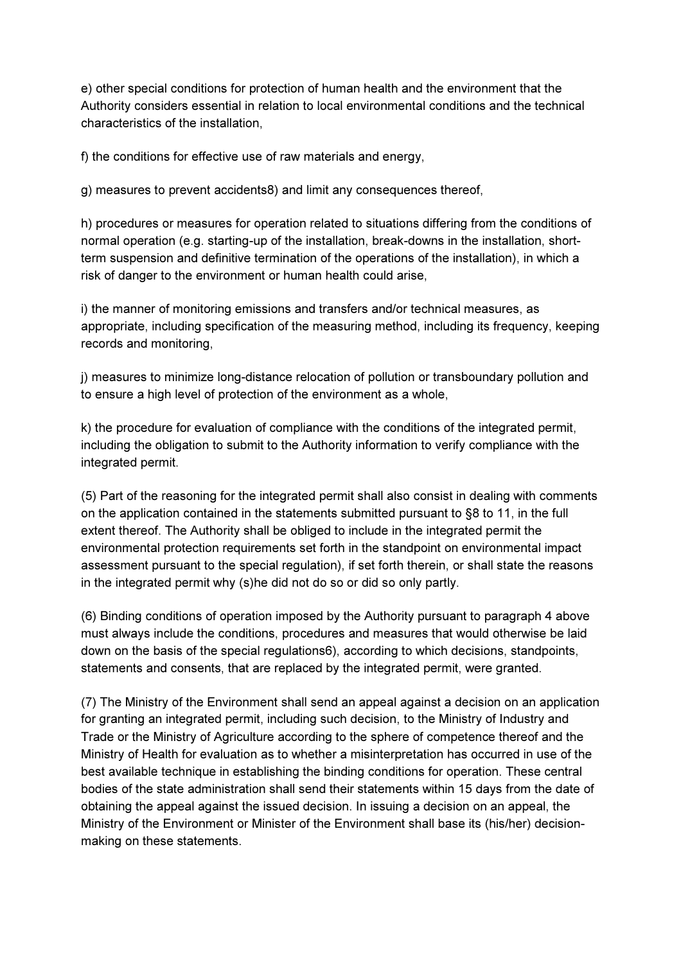e) other special conditions for protection of human health and the environment that the Authority considers essential in relation to local environmental conditions and the technical characteristics of the installation,

f) the conditions for effective use of raw materials and energy,

g) measures to prevent accidents8) and limit any consequences thereof,

h) procedures or measures for operation related to situations differing from the conditions of normal operation (e.g. starting-up of the installation, break-downs in the installation, shortterm suspension and definitive termination of the operations of the installation), in which a risk of danger to the environment or human health could arise,

i) the manner of monitoring emissions and transfers and/or technical measures, as appropriate, including specification of the measuring method, including its frequency, keeping records and monitoring,

j) measures to minimize long-distance relocation of pollution or transboundary pollution and to ensure a high level of protection of the environment as a whole,

k) the procedure for evaluation of compliance with the conditions of the integrated permit, including the obligation to submit to the Authority information to verify compliance with the integrated permit.

(5) Part of the reasoning for the integrated permit shall also consist in dealing with comments on the application contained in the statements submitted pursuant to §8 to 11, in the full extent thereof. The Authority shall be obliged to include in the integrated permit the environmental protection requirements set forth in the standpoint on environmental impact assessment pursuant to the special regulation), if set forth therein, or shall state the reasons in the integrated permit why (s)he did not do so or did so only partly.

(6) Binding conditions of operation imposed by the Authority pursuant to paragraph 4 above must always include the conditions, procedures and measures that would otherwise be laid down on the basis of the special regulations6), according to which decisions, standpoints, statements and consents, that are replaced by the integrated permit, were granted.

(7) The Ministry of the Environment shall send an appeal against a decision on an application for granting an integrated permit, including such decision, to the Ministry of Industry and Trade or the Ministry of Agriculture according to the sphere of competence thereof and the Ministry of Health for evaluation as to whether a misinterpretation has occurred in use of the best available technique in establishing the binding conditions for operation. These central bodies of the state administration shall send their statements within 15 days from the date of obtaining the appeal against the issued decision. In issuing a decision on an appeal, the Ministry of the Environment or Minister of the Environment shall base its (his/her) decisionmaking on these statements.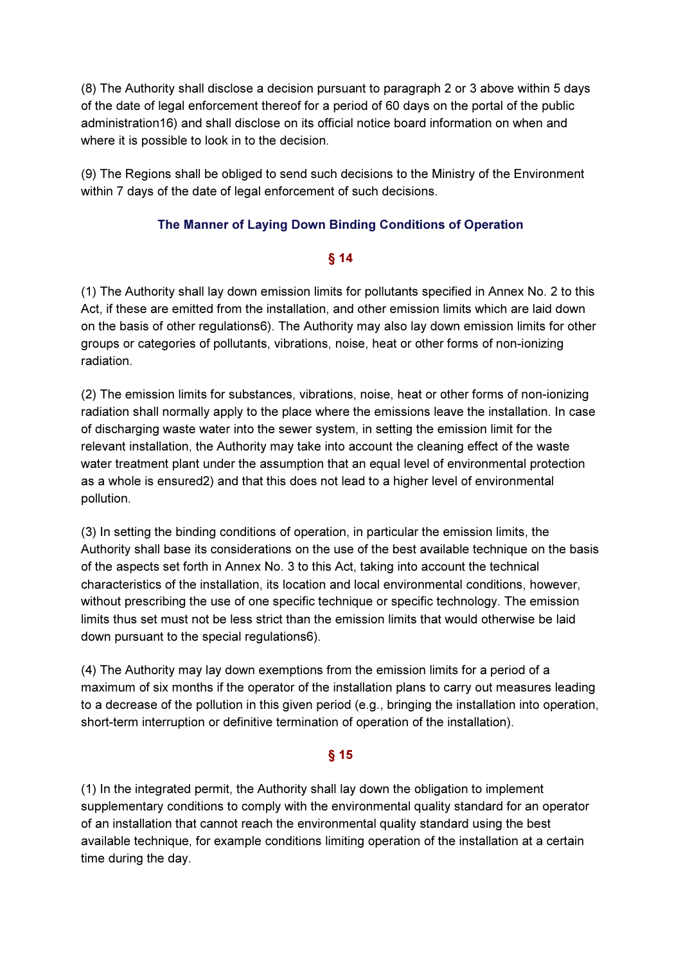(8) The Authority shall disclose a decision pursuant to paragraph 2 or 3 above within 5 days of the date of legal enforcement thereof for a period of 60 days on the portal of the public administration16) and shall disclose on its official notice board information on when and where it is possible to look in to the decision.

(9) The Regions shall be obliged to send such decisions to the Ministry of the Environment within 7 days of the date of legal enforcement of such decisions.

# The Manner of Laying Down Binding Conditions of Operation

### § 14

(1) The Authority shall lay down emission limits for pollutants specified in Annex No. 2 to this Act, if these are emitted from the installation, and other emission limits which are laid down on the basis of other regulations6). The Authority may also lay down emission limits for other groups or categories of pollutants, vibrations, noise, heat or other forms of non-ionizing radiation.

(2) The emission limits for substances, vibrations, noise, heat or other forms of non-ionizing radiation shall normally apply to the place where the emissions leave the installation. In case of discharging waste water into the sewer system, in setting the emission limit for the relevant installation, the Authority may take into account the cleaning effect of the waste water treatment plant under the assumption that an equal level of environmental protection as a whole is ensured2) and that this does not lead to a higher level of environmental pollution.

(3) In setting the binding conditions of operation, in particular the emission limits, the Authority shall base its considerations on the use of the best available technique on the basis of the aspects set forth in Annex No. 3 to this Act, taking into account the technical characteristics of the installation, its location and local environmental conditions, however, without prescribing the use of one specific technique or specific technology. The emission limits thus set must not be less strict than the emission limits that would otherwise be laid down pursuant to the special regulations6).

(4) The Authority may lay down exemptions from the emission limits for a period of a maximum of six months if the operator of the installation plans to carry out measures leading to a decrease of the pollution in this given period (e.g., bringing the installation into operation, short-term interruption or definitive termination of operation of the installation).

# § 15

(1) In the integrated permit, the Authority shall lay down the obligation to implement supplementary conditions to comply with the environmental quality standard for an operator of an installation that cannot reach the environmental quality standard using the best available technique, for example conditions limiting operation of the installation at a certain time during the day.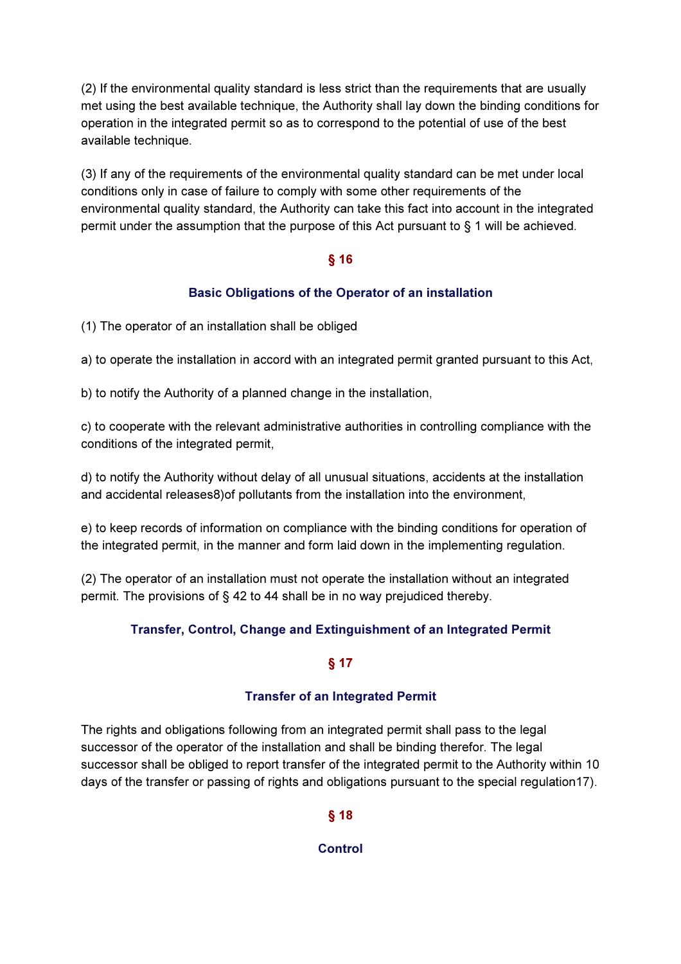(2) If the environmental quality standard is less strict than the requirements that are usually met using the best available technique, the Authority shall lay down the binding conditions for operation in the integrated permit so as to correspond to the potential of use of the best available technique.

(3) If any of the requirements of the environmental quality standard can be met under local conditions only in case of failure to comply with some other requirements of the environmental quality standard, the Authority can take this fact into account in the integrated permit under the assumption that the purpose of this Act pursuant to § 1 will be achieved.

### § 16

# Basic Obligations of the Operator of an installation

(1) The operator of an installation shall be obliged

a) to operate the installation in accord with an integrated permit granted pursuant to this Act,

b) to notify the Authority of a planned change in the installation,

c) to cooperate with the relevant administrative authorities in controlling compliance with the conditions of the integrated permit,

d) to notify the Authority without delay of all unusual situations, accidents at the installation and accidental releases8)of pollutants from the installation into the environment,

e) to keep records of information on compliance with the binding conditions for operation of the integrated permit, in the manner and form laid down in the implementing regulation.

(2) The operator of an installation must not operate the installation without an integrated permit. The provisions of § 42 to 44 shall be in no way prejudiced thereby.

# Transfer, Control, Change and Extinguishment of an Integrated Permit

# § 17

# Transfer of an Integrated Permit

The rights and obligations following from an integrated permit shall pass to the legal successor of the operator of the installation and shall be binding therefor. The legal successor shall be obliged to report transfer of the integrated permit to the Authority within 10 days of the transfer or passing of rights and obligations pursuant to the special regulation17).

### § 18

### **Control**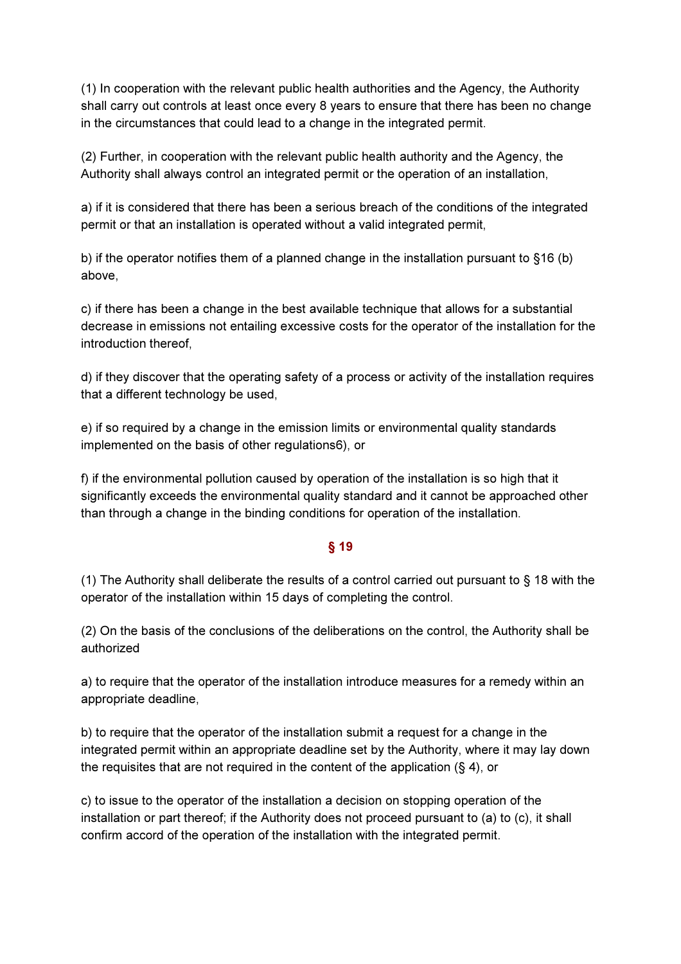(1) In cooperation with the relevant public health authorities and the Agency, the Authority shall carry out controls at least once every 8 years to ensure that there has been no change in the circumstances that could lead to a change in the integrated permit.

(2) Further, in cooperation with the relevant public health authority and the Agency, the Authority shall always control an integrated permit or the operation of an installation,

a) if it is considered that there has been a serious breach of the conditions of the integrated permit or that an installation is operated without a valid integrated permit,

b) if the operator notifies them of a planned change in the installation pursuant to §16 (b) above,

c) if there has been a change in the best available technique that allows for a substantial decrease in emissions not entailing excessive costs for the operator of the installation for the introduction thereof,

d) if they discover that the operating safety of a process or activity of the installation requires that a different technology be used,

e) if so required by a change in the emission limits or environmental quality standards implemented on the basis of other regulations6), or

f) if the environmental pollution caused by operation of the installation is so high that it significantly exceeds the environmental quality standard and it cannot be approached other than through a change in the binding conditions for operation of the installation.

# § 19

(1) The Authority shall deliberate the results of a control carried out pursuant to § 18 with the operator of the installation within 15 days of completing the control.

(2) On the basis of the conclusions of the deliberations on the control, the Authority shall be authorized

a) to require that the operator of the installation introduce measures for a remedy within an appropriate deadline,

b) to require that the operator of the installation submit a request for a change in the integrated permit within an appropriate deadline set by the Authority, where it may lay down the requisites that are not required in the content of the application (§ 4), or

c) to issue to the operator of the installation a decision on stopping operation of the installation or part thereof; if the Authority does not proceed pursuant to (a) to (c), it shall confirm accord of the operation of the installation with the integrated permit.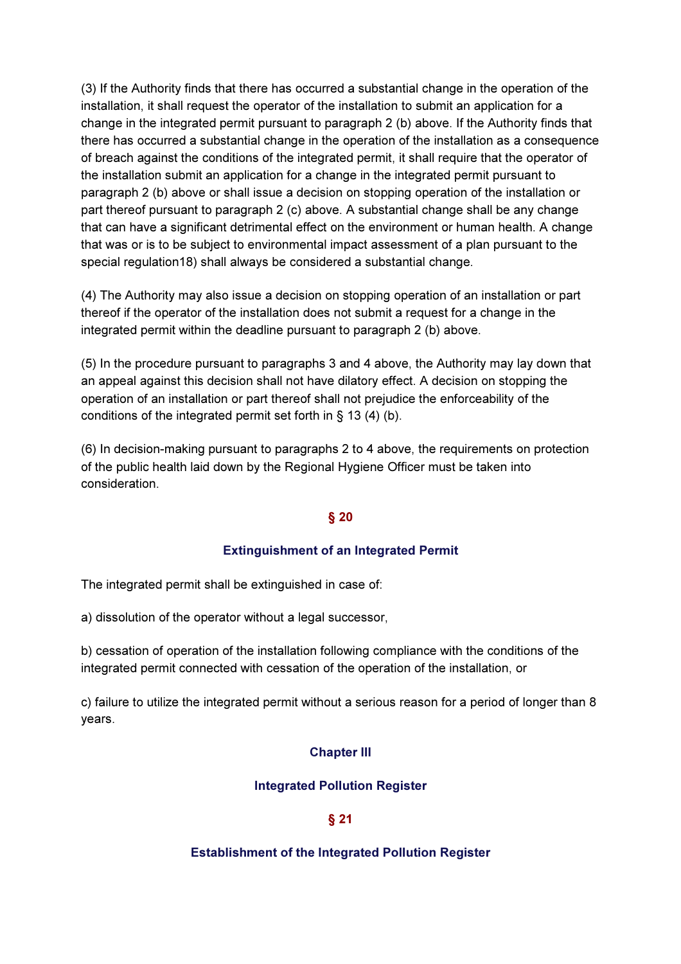(3) If the Authority finds that there has occurred a substantial change in the operation of the installation, it shall request the operator of the installation to submit an application for a change in the integrated permit pursuant to paragraph 2 (b) above. If the Authority finds that there has occurred a substantial change in the operation of the installation as a consequence of breach against the conditions of the integrated permit, it shall require that the operator of the installation submit an application for a change in the integrated permit pursuant to paragraph 2 (b) above or shall issue a decision on stopping operation of the installation or part thereof pursuant to paragraph 2 (c) above. A substantial change shall be any change that can have a significant detrimental effect on the environment or human health. A change that was or is to be subject to environmental impact assessment of a plan pursuant to the special regulation18) shall always be considered a substantial change.

(4) The Authority may also issue a decision on stopping operation of an installation or part thereof if the operator of the installation does not submit a request for a change in the integrated permit within the deadline pursuant to paragraph 2 (b) above.

(5) In the procedure pursuant to paragraphs 3 and 4 above, the Authority may lay down that an appeal against this decision shall not have dilatory effect. A decision on stopping the operation of an installation or part thereof shall not prejudice the enforceability of the conditions of the integrated permit set forth in § 13 (4) (b).

(6) In decision-making pursuant to paragraphs 2 to 4 above, the requirements on protection of the public health laid down by the Regional Hygiene Officer must be taken into consideration.

# § 20

# Extinguishment of an Integrated Permit

The integrated permit shall be extinguished in case of:

a) dissolution of the operator without a legal successor,

b) cessation of operation of the installation following compliance with the conditions of the integrated permit connected with cessation of the operation of the installation, or

c) failure to utilize the integrated permit without a serious reason for a period of longer than 8 years.

# Chapter III

# Integrated Pollution Register

# § 21

### Establishment of the Integrated Pollution Register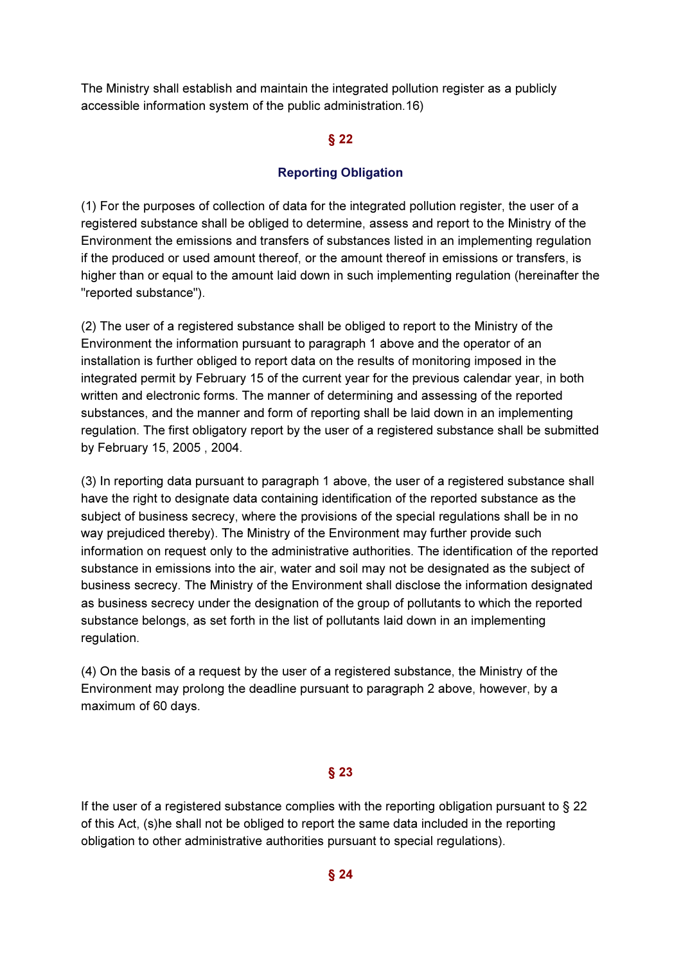The Ministry shall establish and maintain the integrated pollution register as a publicly accessible information system of the public administration.16)

#### § 22

#### Reporting Obligation

(1) For the purposes of collection of data for the integrated pollution register, the user of a registered substance shall be obliged to determine, assess and report to the Ministry of the Environment the emissions and transfers of substances listed in an implementing regulation if the produced or used amount thereof, or the amount thereof in emissions or transfers, is higher than or equal to the amount laid down in such implementing regulation (hereinafter the "reported substance").

(2) The user of a registered substance shall be obliged to report to the Ministry of the Environment the information pursuant to paragraph 1 above and the operator of an installation is further obliged to report data on the results of monitoring imposed in the integrated permit by February 15 of the current year for the previous calendar year, in both written and electronic forms. The manner of determining and assessing of the reported substances, and the manner and form of reporting shall be laid down in an implementing regulation. The first obligatory report by the user of a registered substance shall be submitted by February 15, 2005 , 2004.

(3) In reporting data pursuant to paragraph 1 above, the user of a registered substance shall have the right to designate data containing identification of the reported substance as the subject of business secrecy, where the provisions of the special regulations shall be in no way prejudiced thereby). The Ministry of the Environment may further provide such information on request only to the administrative authorities. The identification of the reported substance in emissions into the air, water and soil may not be designated as the subject of business secrecy. The Ministry of the Environment shall disclose the information designated as business secrecy under the designation of the group of pollutants to which the reported substance belongs, as set forth in the list of pollutants laid down in an implementing regulation.

(4) On the basis of a request by the user of a registered substance, the Ministry of the Environment may prolong the deadline pursuant to paragraph 2 above, however, by a maximum of 60 days.

### § 23

If the user of a registered substance complies with the reporting obligation pursuant to § 22 of this Act, (s)he shall not be obliged to report the same data included in the reporting obligation to other administrative authorities pursuant to special regulations).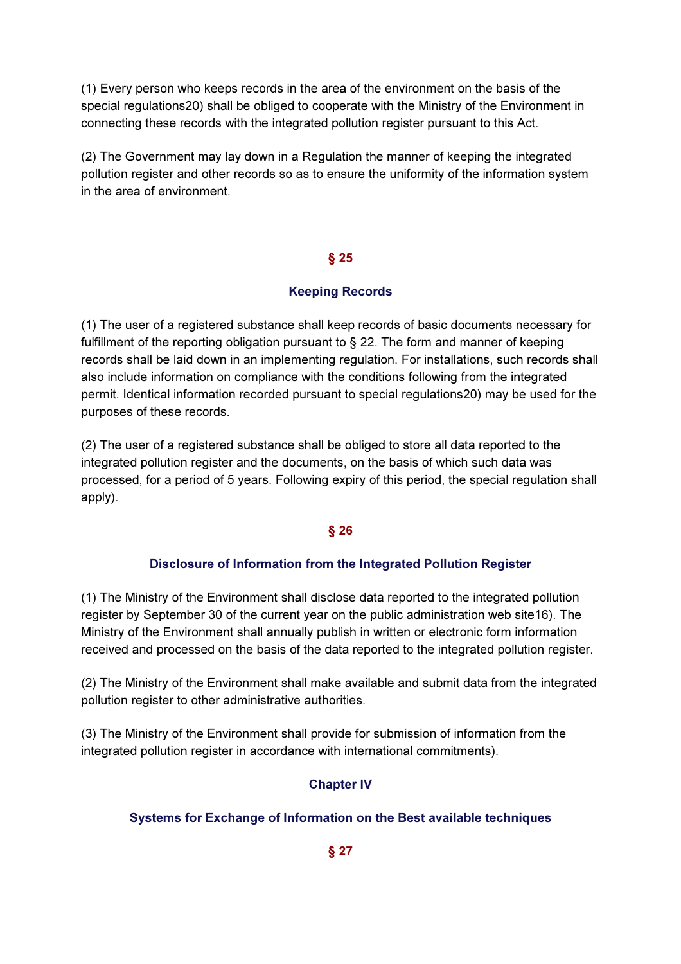(1) Every person who keeps records in the area of the environment on the basis of the special regulations20) shall be obliged to cooperate with the Ministry of the Environment in connecting these records with the integrated pollution register pursuant to this Act.

(2) The Government may lay down in a Regulation the manner of keeping the integrated pollution register and other records so as to ensure the uniformity of the information system in the area of environment.

### § 25

# Keeping Records

(1) The user of a registered substance shall keep records of basic documents necessary for fulfillment of the reporting obligation pursuant to § 22. The form and manner of keeping records shall be laid down in an implementing regulation. For installations, such records shall also include information on compliance with the conditions following from the integrated permit. Identical information recorded pursuant to special regulations20) may be used for the purposes of these records.

(2) The user of a registered substance shall be obliged to store all data reported to the integrated pollution register and the documents, on the basis of which such data was processed, for a period of 5 years. Following expiry of this period, the special regulation shall apply).

# § 26

### Disclosure of Information from the Integrated Pollution Register

(1) The Ministry of the Environment shall disclose data reported to the integrated pollution register by September 30 of the current year on the public administration web site16). The Ministry of the Environment shall annually publish in written or electronic form information received and processed on the basis of the data reported to the integrated pollution register.

(2) The Ministry of the Environment shall make available and submit data from the integrated pollution register to other administrative authorities.

(3) The Ministry of the Environment shall provide for submission of information from the integrated pollution register in accordance with international commitments).

# Chapter IV

# Systems for Exchange of Information on the Best available techniques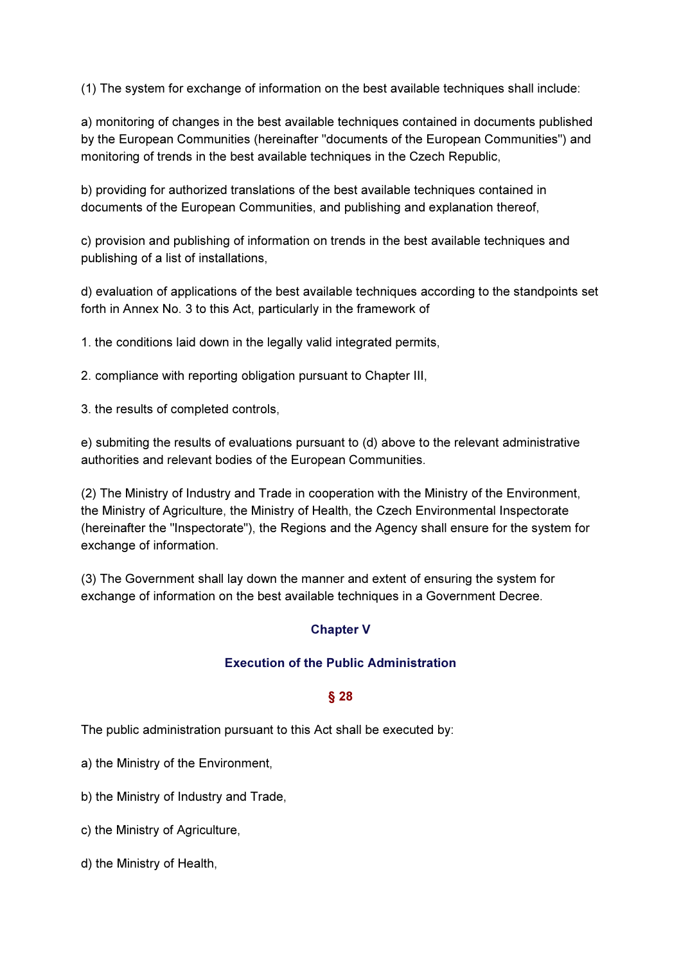(1) The system for exchange of information on the best available techniques shall include:

a) monitoring of changes in the best available techniques contained in documents published by the European Communities (hereinafter "documents of the European Communities") and monitoring of trends in the best available techniques in the Czech Republic,

b) providing for authorized translations of the best available techniques contained in documents of the European Communities, and publishing and explanation thereof,

c) provision and publishing of information on trends in the best available techniques and publishing of a list of installations,

d) evaluation of applications of the best available techniques according to the standpoints set forth in Annex No. 3 to this Act, particularly in the framework of

1. the conditions laid down in the legally valid integrated permits,

2. compliance with reporting obligation pursuant to Chapter III,

3. the results of completed controls,

e) submiting the results of evaluations pursuant to (d) above to the relevant administrative authorities and relevant bodies of the European Communities.

(2) The Ministry of Industry and Trade in cooperation with the Ministry of the Environment, the Ministry of Agriculture, the Ministry of Health, the Czech Environmental Inspectorate (hereinafter the "Inspectorate"), the Regions and the Agency shall ensure for the system for exchange of information.

(3) The Government shall lay down the manner and extent of ensuring the system for exchange of information on the best available techniques in a Government Decree.

# Chapter V

### Execution of the Public Administration

### § 28

The public administration pursuant to this Act shall be executed by:

a) the Ministry of the Environment,

b) the Ministry of Industry and Trade,

- c) the Ministry of Agriculture,
- d) the Ministry of Health,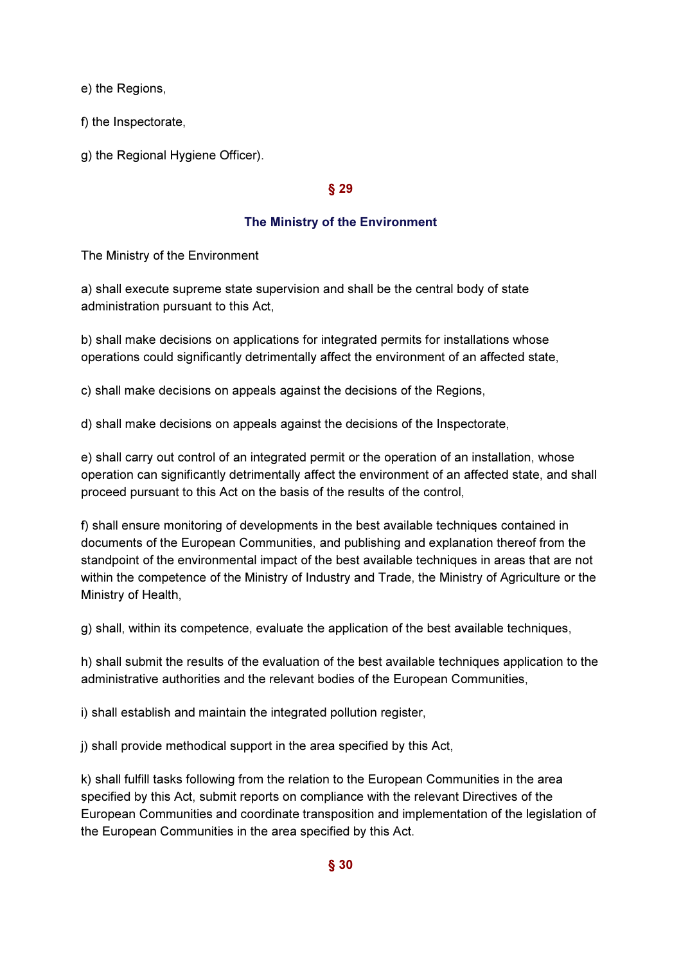e) the Regions,

f) the Inspectorate,

g) the Regional Hygiene Officer).

### § 29

### The Ministry of the Environment

The Ministry of the Environment

a) shall execute supreme state supervision and shall be the central body of state administration pursuant to this Act,

b) shall make decisions on applications for integrated permits for installations whose operations could significantly detrimentally affect the environment of an affected state,

c) shall make decisions on appeals against the decisions of the Regions,

d) shall make decisions on appeals against the decisions of the Inspectorate,

e) shall carry out control of an integrated permit or the operation of an installation, whose operation can significantly detrimentally affect the environment of an affected state, and shall proceed pursuant to this Act on the basis of the results of the control,

f) shall ensure monitoring of developments in the best available techniques contained in documents of the European Communities, and publishing and explanation thereof from the standpoint of the environmental impact of the best available techniques in areas that are not within the competence of the Ministry of Industry and Trade, the Ministry of Agriculture or the Ministry of Health,

g) shall, within its competence, evaluate the application of the best available techniques,

h) shall submit the results of the evaluation of the best available techniques application to the administrative authorities and the relevant bodies of the European Communities,

i) shall establish and maintain the integrated pollution register,

j) shall provide methodical support in the area specified by this Act,

k) shall fulfill tasks following from the relation to the European Communities in the area specified by this Act, submit reports on compliance with the relevant Directives of the European Communities and coordinate transposition and implementation of the legislation of the European Communities in the area specified by this Act.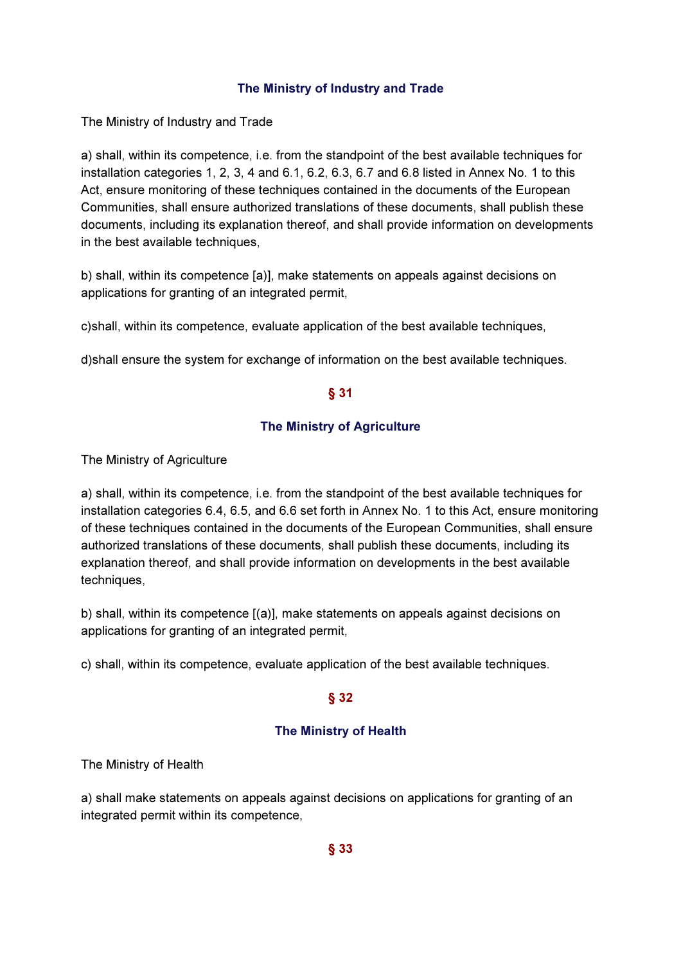### The Ministry of Industry and Trade

The Ministry of Industry and Trade

a) shall, within its competence, i.e. from the standpoint of the best available techniques for installation categories 1, 2, 3, 4 and 6.1, 6.2, 6.3, 6.7 and 6.8 listed in Annex No. 1 to this Act, ensure monitoring of these techniques contained in the documents of the European Communities, shall ensure authorized translations of these documents, shall publish these documents, including its explanation thereof, and shall provide information on developments in the best available techniques,

b) shall, within its competence [a)], make statements on appeals against decisions on applications for granting of an integrated permit,

c)shall, within its competence, evaluate application of the best available techniques,

d)shall ensure the system for exchange of information on the best available techniques.

### § 31

### The Ministry of Agriculture

The Ministry of Agriculture

a) shall, within its competence, i.e. from the standpoint of the best available techniques for installation categories 6.4, 6.5, and 6.6 set forth in Annex No. 1 to this Act, ensure monitoring of these techniques contained in the documents of the European Communities, shall ensure authorized translations of these documents, shall publish these documents, including its explanation thereof, and shall provide information on developments in the best available techniques,

b) shall, within its competence [(a)], make statements on appeals against decisions on applications for granting of an integrated permit,

c) shall, within its competence, evaluate application of the best available techniques.

# § 32

# The Ministry of Health

The Ministry of Health

a) shall make statements on appeals against decisions on applications for granting of an integrated permit within its competence,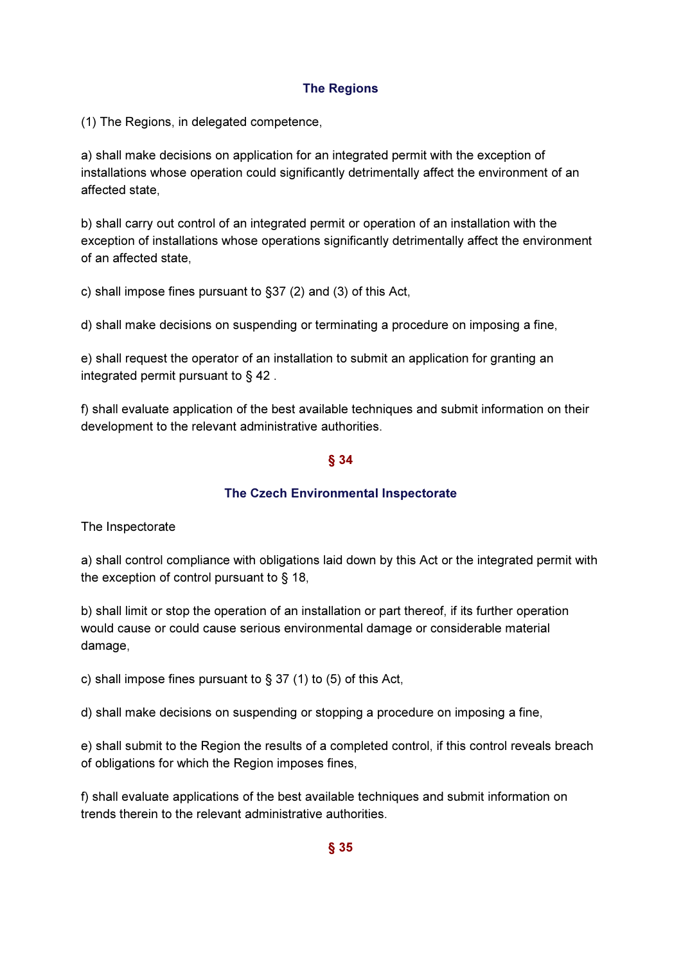# The Regions

(1) The Regions, in delegated competence,

a) shall make decisions on application for an integrated permit with the exception of installations whose operation could significantly detrimentally affect the environment of an affected state,

b) shall carry out control of an integrated permit or operation of an installation with the exception of installations whose operations significantly detrimentally affect the environment of an affected state,

c) shall impose fines pursuant to §37 (2) and (3) of this Act,

d) shall make decisions on suspending or terminating a procedure on imposing a fine,

e) shall request the operator of an installation to submit an application for granting an integrated permit pursuant to § 42 .

f) shall evaluate application of the best available techniques and submit information on their development to the relevant administrative authorities.

### § 34

# The Czech Environmental Inspectorate

The Inspectorate

a) shall control compliance with obligations laid down by this Act or the integrated permit with the exception of control pursuant to § 18,

b) shall limit or stop the operation of an installation or part thereof, if its further operation would cause or could cause serious environmental damage or considerable material damage,

c) shall impose fines pursuant to  $\S 37 (1)$  to  $(5)$  of this Act,

d) shall make decisions on suspending or stopping a procedure on imposing a fine,

e) shall submit to the Region the results of a completed control, if this control reveals breach of obligations for which the Region imposes fines,

f) shall evaluate applications of the best available techniques and submit information on trends therein to the relevant administrative authorities.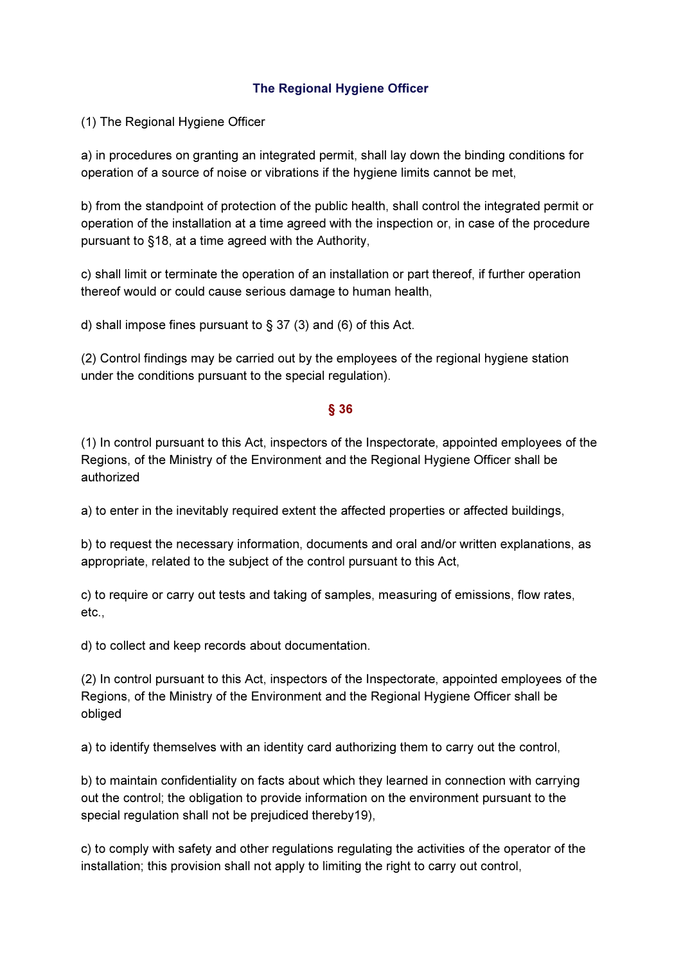# The Regional Hygiene Officer

(1) The Regional Hygiene Officer

a) in procedures on granting an integrated permit, shall lay down the binding conditions for operation of a source of noise or vibrations if the hygiene limits cannot be met,

b) from the standpoint of protection of the public health, shall control the integrated permit or operation of the installation at a time agreed with the inspection or, in case of the procedure pursuant to §18, at a time agreed with the Authority,

c) shall limit or terminate the operation of an installation or part thereof, if further operation thereof would or could cause serious damage to human health,

d) shall impose fines pursuant to § 37 (3) and (6) of this Act.

(2) Control findings may be carried out by the employees of the regional hygiene station under the conditions pursuant to the special regulation).

### § 36

(1) In control pursuant to this Act, inspectors of the Inspectorate, appointed employees of the Regions, of the Ministry of the Environment and the Regional Hygiene Officer shall be authorized

a) to enter in the inevitably required extent the affected properties or affected buildings,

b) to request the necessary information, documents and oral and/or written explanations, as appropriate, related to the subject of the control pursuant to this Act,

c) to require or carry out tests and taking of samples, measuring of emissions, flow rates, etc.,

d) to collect and keep records about documentation.

(2) In control pursuant to this Act, inspectors of the Inspectorate, appointed employees of the Regions, of the Ministry of the Environment and the Regional Hygiene Officer shall be obliged

a) to identify themselves with an identity card authorizing them to carry out the control,

b) to maintain confidentiality on facts about which they learned in connection with carrying out the control; the obligation to provide information on the environment pursuant to the special regulation shall not be prejudiced thereby19),

c) to comply with safety and other regulations regulating the activities of the operator of the installation; this provision shall not apply to limiting the right to carry out control,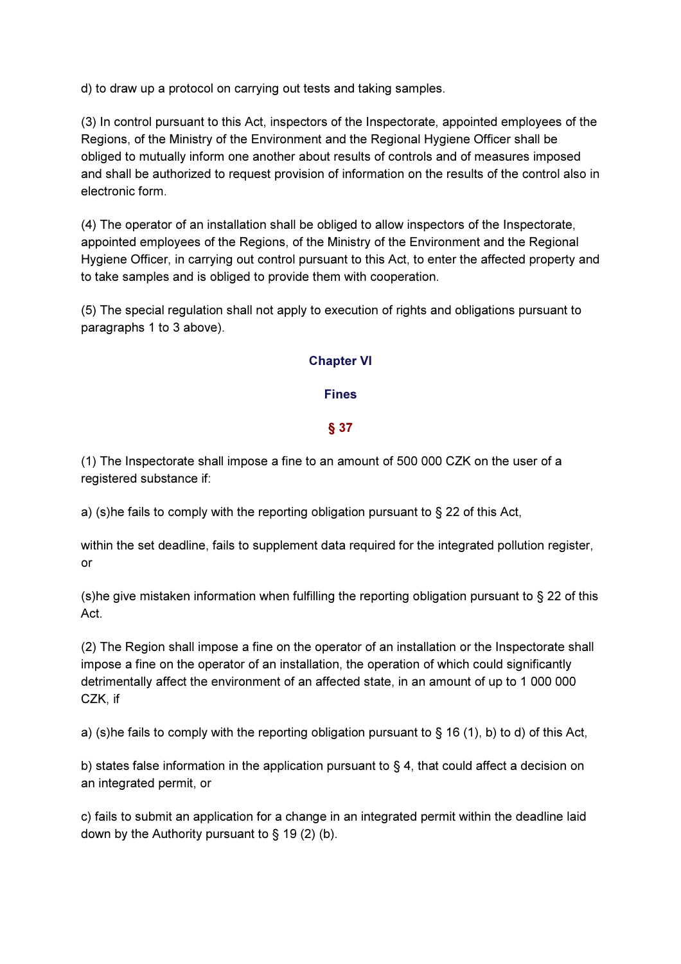d) to draw up a protocol on carrying out tests and taking samples.

(3) In control pursuant to this Act, inspectors of the Inspectorate, appointed employees of the Regions, of the Ministry of the Environment and the Regional Hygiene Officer shall be obliged to mutually inform one another about results of controls and of measures imposed and shall be authorized to request provision of information on the results of the control also in electronic form.

(4) The operator of an installation shall be obliged to allow inspectors of the Inspectorate, appointed employees of the Regions, of the Ministry of the Environment and the Regional Hygiene Officer, in carrying out control pursuant to this Act, to enter the affected property and to take samples and is obliged to provide them with cooperation.

(5) The special regulation shall not apply to execution of rights and obligations pursuant to paragraphs 1 to 3 above).

### Chapter VI

### Fines

### § 37

(1) The Inspectorate shall impose a fine to an amount of 500 000 CZK on the user of a registered substance if:

a) (s)he fails to comply with the reporting obligation pursuant to § 22 of this Act,

within the set deadline, fails to supplement data required for the integrated pollution register, or

(s)he give mistaken information when fulfilling the reporting obligation pursuant to § 22 of this Act.

(2) The Region shall impose a fine on the operator of an installation or the Inspectorate shall impose a fine on the operator of an installation, the operation of which could significantly detrimentally affect the environment of an affected state, in an amount of up to 1 000 000 CZK, if

a) (s)he fails to comply with the reporting obligation pursuant to  $\S$  16 (1), b) to d) of this Act,

b) states false information in the application pursuant to  $\S 4$ , that could affect a decision on an integrated permit, or

c) fails to submit an application for a change in an integrated permit within the deadline laid down by the Authority pursuant to  $\S$  19 (2) (b).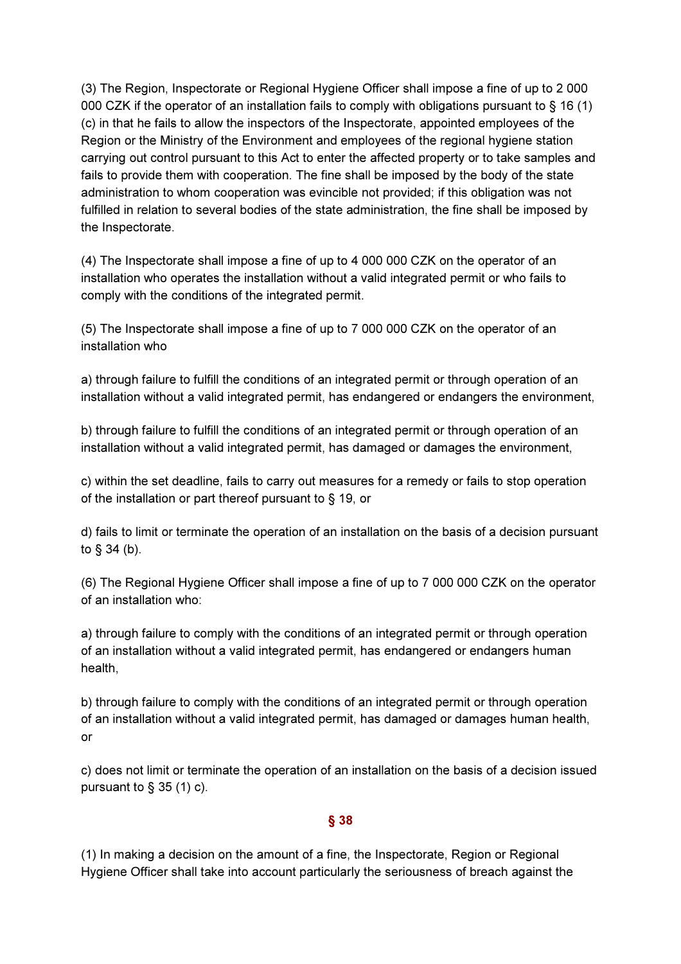(3) The Region, Inspectorate or Regional Hygiene Officer shall impose a fine of up to 2 000 000 CZK if the operator of an installation fails to comply with obligations pursuant to § 16 (1) (c) in that he fails to allow the inspectors of the Inspectorate, appointed employees of the Region or the Ministry of the Environment and employees of the regional hygiene station carrying out control pursuant to this Act to enter the affected property or to take samples and fails to provide them with cooperation. The fine shall be imposed by the body of the state administration to whom cooperation was evincible not provided; if this obligation was not fulfilled in relation to several bodies of the state administration, the fine shall be imposed by the Inspectorate.

(4) The Inspectorate shall impose a fine of up to 4 000 000 CZK on the operator of an installation who operates the installation without a valid integrated permit or who fails to comply with the conditions of the integrated permit.

(5) The Inspectorate shall impose a fine of up to 7 000 000 CZK on the operator of an installation who

a) through failure to fulfill the conditions of an integrated permit or through operation of an installation without a valid integrated permit, has endangered or endangers the environment,

b) through failure to fulfill the conditions of an integrated permit or through operation of an installation without a valid integrated permit, has damaged or damages the environment,

c) within the set deadline, fails to carry out measures for a remedy or fails to stop operation of the installation or part thereof pursuant to § 19, or

d) fails to limit or terminate the operation of an installation on the basis of a decision pursuant to § 34 (b).

(6) The Regional Hygiene Officer shall impose a fine of up to 7 000 000 CZK on the operator of an installation who:

a) through failure to comply with the conditions of an integrated permit or through operation of an installation without a valid integrated permit, has endangered or endangers human health,

b) through failure to comply with the conditions of an integrated permit or through operation of an installation without a valid integrated permit, has damaged or damages human health, or

c) does not limit or terminate the operation of an installation on the basis of a decision issued pursuant to  $\S$  35 (1) c).

### § 38

(1) In making a decision on the amount of a fine, the Inspectorate, Region or Regional Hygiene Officer shall take into account particularly the seriousness of breach against the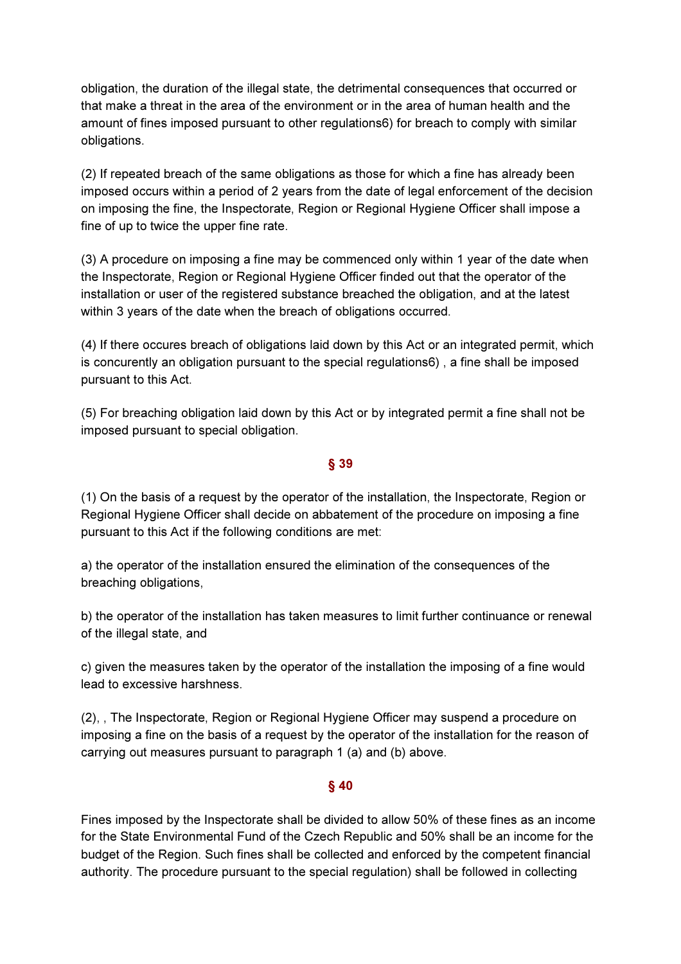obligation, the duration of the illegal state, the detrimental consequences that occurred or that make a threat in the area of the environment or in the area of human health and the amount of fines imposed pursuant to other regulations6) for breach to comply with similar obligations.

(2) If repeated breach of the same obligations as those for which a fine has already been imposed occurs within a period of 2 years from the date of legal enforcement of the decision on imposing the fine, the Inspectorate, Region or Regional Hygiene Officer shall impose a fine of up to twice the upper fine rate.

(3) A procedure on imposing a fine may be commenced only within 1 year of the date when the Inspectorate, Region or Regional Hygiene Officer finded out that the operator of the installation or user of the registered substance breached the obligation, and at the latest within 3 years of the date when the breach of obligations occurred.

(4) If there occures breach of obligations laid down by this Act or an integrated permit, which is concurently an obligation pursuant to the special regulations6) , a fine shall be imposed pursuant to this Act.

(5) For breaching obligation laid down by this Act or by integrated permit a fine shall not be imposed pursuant to special obligation.

### § 39

(1) On the basis of a request by the operator of the installation, the Inspectorate, Region or Regional Hygiene Officer shall decide on abbatement of the procedure on imposing a fine pursuant to this Act if the following conditions are met:

a) the operator of the installation ensured the elimination of the consequences of the breaching obligations,

b) the operator of the installation has taken measures to limit further continuance or renewal of the illegal state, and

c) given the measures taken by the operator of the installation the imposing of a fine would lead to excessive harshness.

(2), , The Inspectorate, Region or Regional Hygiene Officer may suspend a procedure on imposing a fine on the basis of a request by the operator of the installation for the reason of carrying out measures pursuant to paragraph 1 (a) and (b) above.

### § 40

Fines imposed by the Inspectorate shall be divided to allow 50% of these fines as an income for the State Environmental Fund of the Czech Republic and 50% shall be an income for the budget of the Region. Such fines shall be collected and enforced by the competent financial authority. The procedure pursuant to the special regulation) shall be followed in collecting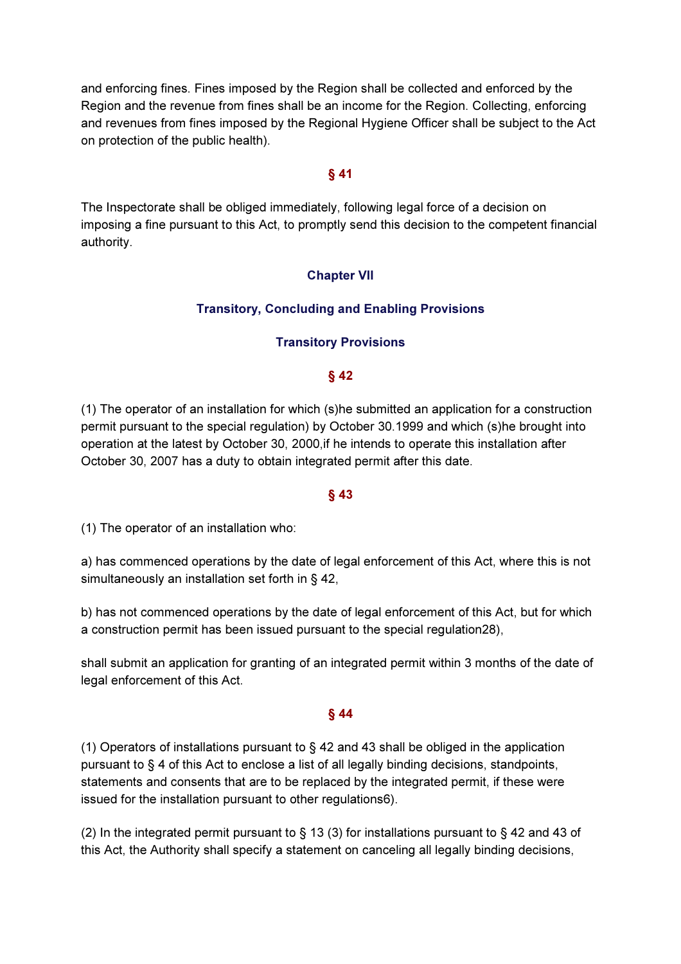and enforcing fines. Fines imposed by the Region shall be collected and enforced by the Region and the revenue from fines shall be an income for the Region. Collecting, enforcing and revenues from fines imposed by the Regional Hygiene Officer shall be subject to the Act on protection of the public health).

### § 41

The Inspectorate shall be obliged immediately, following legal force of a decision on imposing a fine pursuant to this Act, to promptly send this decision to the competent financial authority.

### Chapter VII

### Transitory, Concluding and Enabling Provisions

### Transitory Provisions

#### § 42

(1) The operator of an installation for which (s)he submitted an application for a construction permit pursuant to the special regulation) by October 30.1999 and which (s)he brought into operation at the latest by October 30, 2000,if he intends to operate this installation after October 30, 2007 has a duty to obtain integrated permit after this date.

#### § 43

(1) The operator of an installation who:

a) has commenced operations by the date of legal enforcement of this Act, where this is not simultaneously an installation set forth in § 42,

b) has not commenced operations by the date of legal enforcement of this Act, but for which a construction permit has been issued pursuant to the special regulation28),

shall submit an application for granting of an integrated permit within 3 months of the date of legal enforcement of this Act.

### § 44

(1) Operators of installations pursuant to  $\S$  42 and 43 shall be obliged in the application pursuant to § 4 of this Act to enclose a list of all legally binding decisions, standpoints, statements and consents that are to be replaced by the integrated permit, if these were issued for the installation pursuant to other regulations6).

(2) In the integrated permit pursuant to § 13 (3) for installations pursuant to § 42 and 43 of this Act, the Authority shall specify a statement on canceling all legally binding decisions,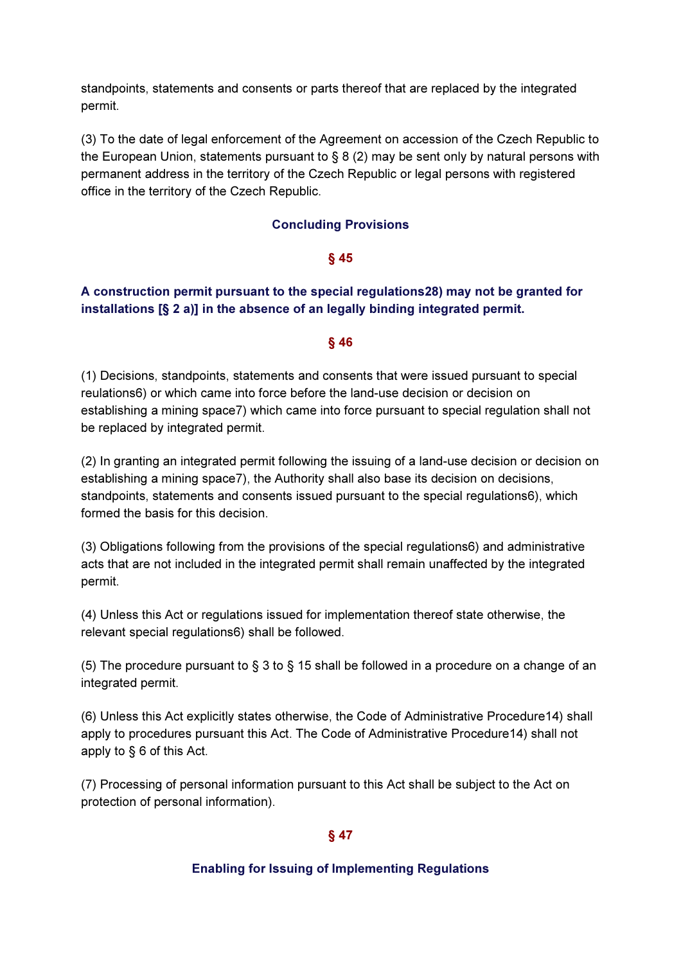standpoints, statements and consents or parts thereof that are replaced by the integrated permit.

(3) To the date of legal enforcement of the Agreement on accession of the Czech Republic to the European Union, statements pursuant to  $\S 8(2)$  may be sent only by natural persons with permanent address in the territory of the Czech Republic or legal persons with registered office in the territory of the Czech Republic.

### Concluding Provisions

### § 45

# A construction permit pursuant to the special regulations28) may not be granted for installations [§ 2 a)] in the absence of an legally binding integrated permit.

### § 46

(1) Decisions, standpoints, statements and consents that were issued pursuant to special reulations6) or which came into force before the land-use decision or decision on establishing a mining space7) which came into force pursuant to special regulation shall not be replaced by integrated permit.

(2) In granting an integrated permit following the issuing of a land-use decision or decision on establishing a mining space7), the Authority shall also base its decision on decisions, standpoints, statements and consents issued pursuant to the special regulations6), which formed the basis for this decision.

(3) Obligations following from the provisions of the special regulations6) and administrative acts that are not included in the integrated permit shall remain unaffected by the integrated permit.

(4) Unless this Act or regulations issued for implementation thereof state otherwise, the relevant special regulations6) shall be followed.

(5) The procedure pursuant to § 3 to § 15 shall be followed in a procedure on a change of an integrated permit.

(6) Unless this Act explicitly states otherwise, the Code of Administrative Procedure14) shall apply to procedures pursuant this Act. The Code of Administrative Procedure14) shall not apply to § 6 of this Act.

(7) Processing of personal information pursuant to this Act shall be subject to the Act on protection of personal information).

### § 47

### Enabling for Issuing of Implementing Regulations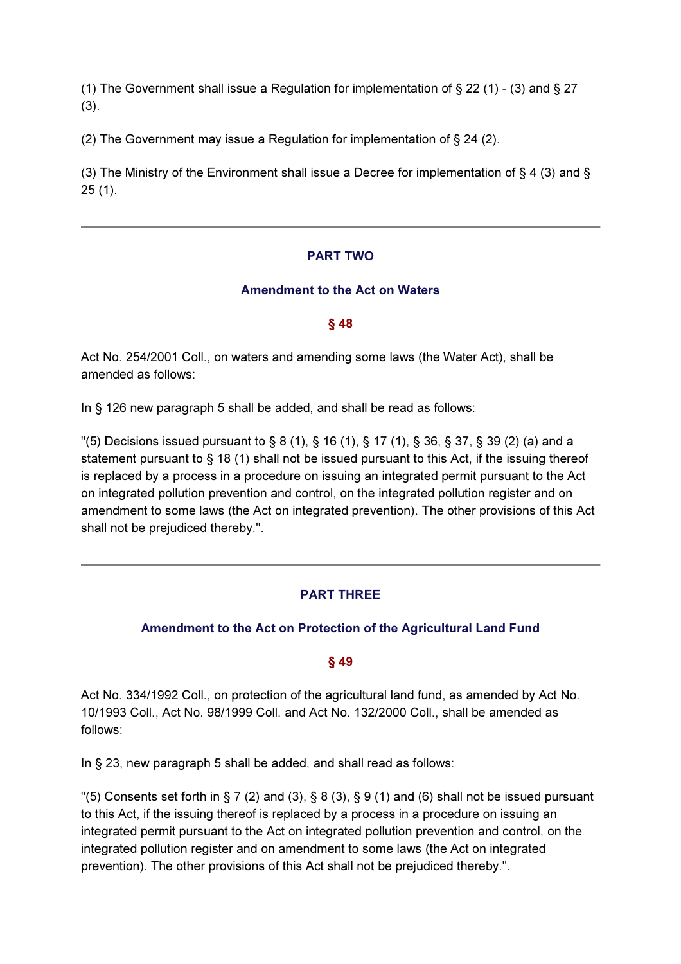(1) The Government shall issue a Regulation for implementation of  $\S 22$  (1) - (3) and  $\S 27$ (3).

(2) The Government may issue a Regulation for implementation of § 24 (2).

(3) The Ministry of the Environment shall issue a Decree for implementation of § 4 (3) and § 25 (1).

### PART TWO

### Amendment to the Act on Waters

### § 48

Act No. 254/2001 Coll., on waters and amending some laws (the Water Act), shall be amended as follows:

In § 126 new paragraph 5 shall be added, and shall be read as follows:

 $\degree$  (5) Decisions issued pursuant to § 8 (1), § 16 (1), § 17 (1), § 36, § 37, § 39 (2) (a) and a statement pursuant to § 18 (1) shall not be issued pursuant to this Act, if the issuing thereof is replaced by a process in a procedure on issuing an integrated permit pursuant to the Act on integrated pollution prevention and control, on the integrated pollution register and on amendment to some laws (the Act on integrated prevention). The other provisions of this Act shall not be prejudiced thereby.".

# PART THREE

# Amendment to the Act on Protection of the Agricultural Land Fund

### § 49

Act No. 334/1992 Coll., on protection of the agricultural land fund, as amended by Act No. 10/1993 Coll., Act No. 98/1999 Coll. and Act No. 132/2000 Coll., shall be amended as follows:

In § 23, new paragraph 5 shall be added, and shall read as follows:

"(5) Consents set forth in § 7 (2) and (3), § 8 (3), § 9 (1) and (6) shall not be issued pursuant to this Act, if the issuing thereof is replaced by a process in a procedure on issuing an integrated permit pursuant to the Act on integrated pollution prevention and control, on the integrated pollution register and on amendment to some laws (the Act on integrated prevention). The other provisions of this Act shall not be prejudiced thereby.".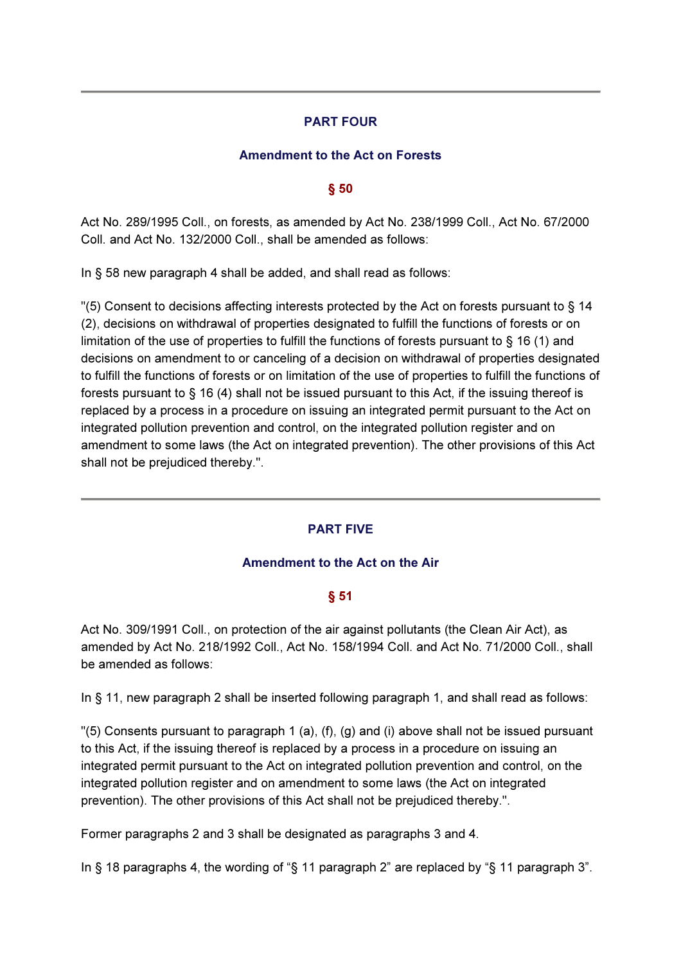### PART FOUR

### Amendment to the Act on Forests

### § 50

Act No. 289/1995 Coll., on forests, as amended by Act No. 238/1999 Coll., Act No. 67/2000 Coll. and Act No. 132/2000 Coll., shall be amended as follows:

In § 58 new paragraph 4 shall be added, and shall read as follows:

"(5) Consent to decisions affecting interests protected by the Act on forests pursuant to § 14 (2), decisions on withdrawal of properties designated to fulfill the functions of forests or on limitation of the use of properties to fulfill the functions of forests pursuant to § 16 (1) and decisions on amendment to or canceling of a decision on withdrawal of properties designated to fulfill the functions of forests or on limitation of the use of properties to fulfill the functions of forests pursuant to § 16 (4) shall not be issued pursuant to this Act, if the issuing thereof is replaced by a process in a procedure on issuing an integrated permit pursuant to the Act on integrated pollution prevention and control, on the integrated pollution register and on amendment to some laws (the Act on integrated prevention). The other provisions of this Act shall not be prejudiced thereby.".

### PART FIVE

### Amendment to the Act on the Air

# § 51

Act No. 309/1991 Coll., on protection of the air against pollutants (the Clean Air Act), as amended by Act No. 218/1992 Coll., Act No. 158/1994 Coll. and Act No. 71/2000 Coll., shall be amended as follows:

In § 11, new paragraph 2 shall be inserted following paragraph 1, and shall read as follows:

"(5) Consents pursuant to paragraph 1 (a), (f), (g) and (i) above shall not be issued pursuant to this Act, if the issuing thereof is replaced by a process in a procedure on issuing an integrated permit pursuant to the Act on integrated pollution prevention and control, on the integrated pollution register and on amendment to some laws (the Act on integrated prevention). The other provisions of this Act shall not be prejudiced thereby.".

Former paragraphs 2 and 3 shall be designated as paragraphs 3 and 4.

In § 18 paragraphs 4, the wording of "§ 11 paragraph 2" are replaced by "§ 11 paragraph 3".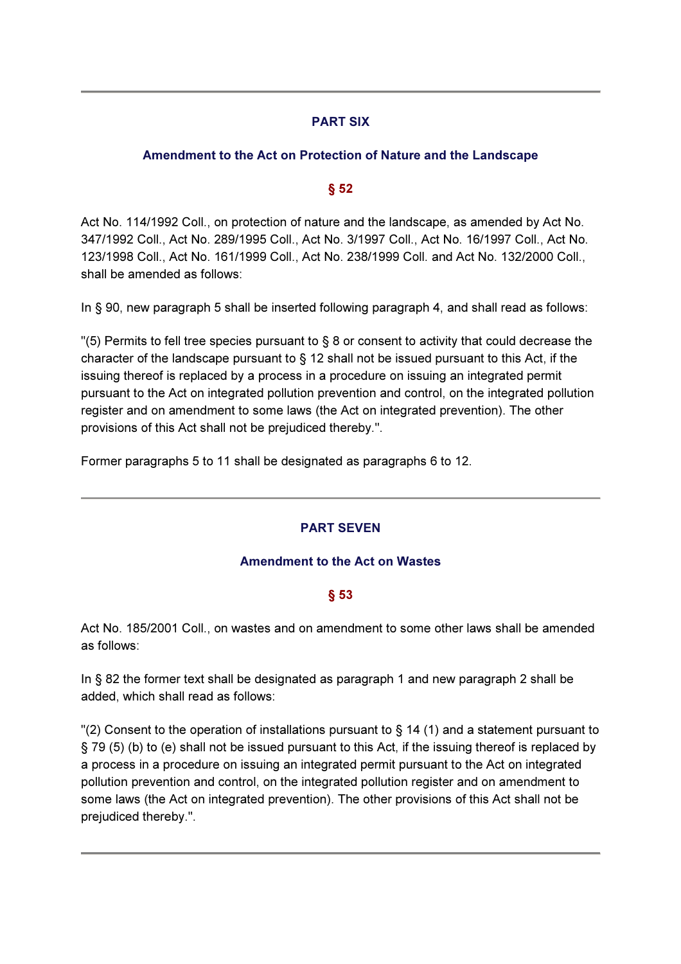# PART SIX

# Amendment to the Act on Protection of Nature and the Landscape

# $§ 52$

Act No. 114/1992 Coll., on protection of nature and the landscape, as amended by Act No. 347/1992 Coll., Act No. 289/1995 Coll., Act No. 3/1997 Coll., Act No. 16/1997 Coll., Act No. 123/1998 Coll., Act No. 161/1999 Coll., Act No. 238/1999 Coll. and Act No. 132/2000 Coll., shall be amended as follows:

In § 90, new paragraph 5 shall be inserted following paragraph 4, and shall read as follows:

 $\degree$ (5) Permits to fell tree species pursuant to § 8 or consent to activity that could decrease the character of the landscape pursuant to § 12 shall not be issued pursuant to this Act, if the issuing thereof is replaced by a process in a procedure on issuing an integrated permit pursuant to the Act on integrated pollution prevention and control, on the integrated pollution register and on amendment to some laws (the Act on integrated prevention). The other provisions of this Act shall not be prejudiced thereby.".

Former paragraphs 5 to 11 shall be designated as paragraphs 6 to 12.

# PART SEVEN

# Amendment to the Act on Wastes

### § 53

Act No. 185/2001 Coll., on wastes and on amendment to some other laws shall be amended as follows:

In § 82 the former text shall be designated as paragraph 1 and new paragraph 2 shall be added, which shall read as follows:

 $\degree$  Consent to the operation of installations pursuant to § 14 (1) and a statement pursuant to § 79 (5) (b) to (e) shall not be issued pursuant to this Act, if the issuing thereof is replaced by a process in a procedure on issuing an integrated permit pursuant to the Act on integrated pollution prevention and control, on the integrated pollution register and on amendment to some laws (the Act on integrated prevention). The other provisions of this Act shall not be prejudiced thereby.".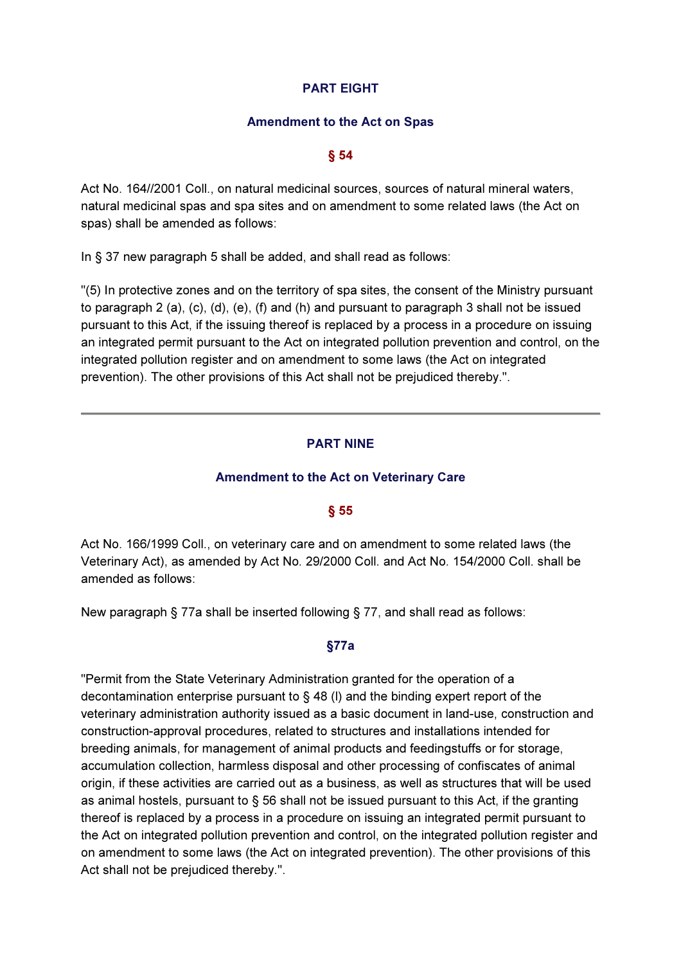### PART EIGHT

#### Amendment to the Act on Spas

### § 54

Act No. 164//2001 Coll., on natural medicinal sources, sources of natural mineral waters, natural medicinal spas and spa sites and on amendment to some related laws (the Act on spas) shall be amended as follows:

In § 37 new paragraph 5 shall be added, and shall read as follows:

"(5) In protective zones and on the territory of spa sites, the consent of the Ministry pursuant to paragraph 2 (a), (c), (d), (e), (f) and (h) and pursuant to paragraph 3 shall not be issued pursuant to this Act, if the issuing thereof is replaced by a process in a procedure on issuing an integrated permit pursuant to the Act on integrated pollution prevention and control, on the integrated pollution register and on amendment to some laws (the Act on integrated prevention). The other provisions of this Act shall not be prejudiced thereby.".

### PART NINE

### Amendment to the Act on Veterinary Care

### § 55

Act No. 166/1999 Coll., on veterinary care and on amendment to some related laws (the Veterinary Act), as amended by Act No. 29/2000 Coll. and Act No. 154/2000 Coll. shall be amended as follows:

New paragraph § 77a shall be inserted following § 77, and shall read as follows:

### §77a

"Permit from the State Veterinary Administration granted for the operation of a decontamination enterprise pursuant to § 48 (l) and the binding expert report of the veterinary administration authority issued as a basic document in land-use, construction and construction-approval procedures, related to structures and installations intended for breeding animals, for management of animal products and feedingstuffs or for storage, accumulation collection, harmless disposal and other processing of confiscates of animal origin, if these activities are carried out as a business, as well as structures that will be used as animal hostels, pursuant to § 56 shall not be issued pursuant to this Act, if the granting thereof is replaced by a process in a procedure on issuing an integrated permit pursuant to the Act on integrated pollution prevention and control, on the integrated pollution register and on amendment to some laws (the Act on integrated prevention). The other provisions of this Act shall not be prejudiced thereby.".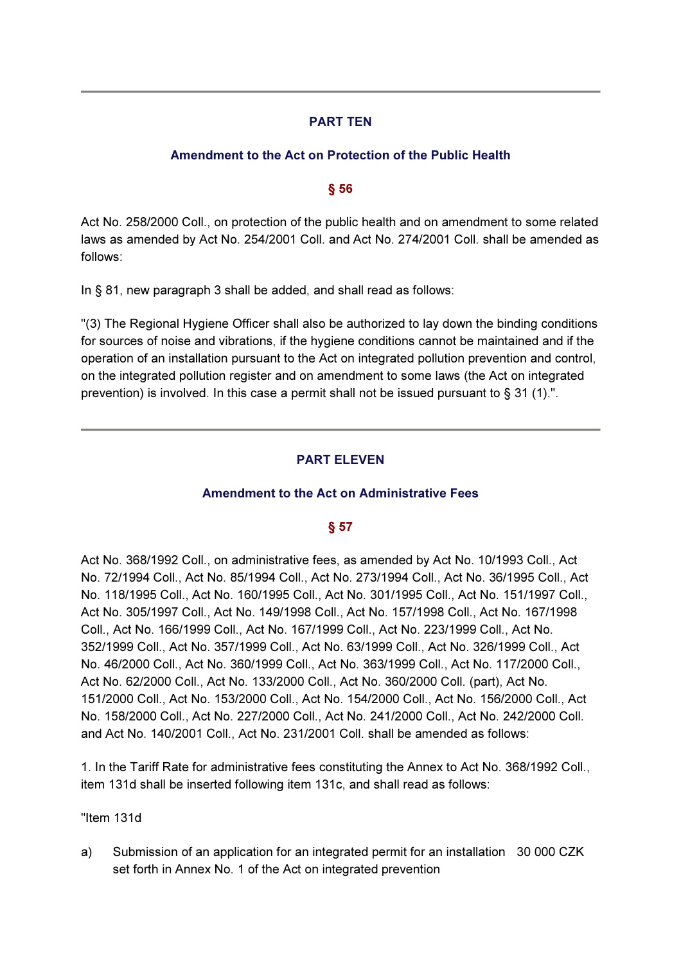# PART TEN

# Amendment to the Act on Protection of the Public Health

# § 56

Act No. 258/2000 Coll., on protection of the public health and on amendment to some related laws as amended by Act No. 254/2001 Coll. and Act No. 274/2001 Coll. shall be amended as follows:

In § 81, new paragraph 3 shall be added, and shall read as follows:

"(3) The Regional Hygiene Officer shall also be authorized to lay down the binding conditions for sources of noise and vibrations, if the hygiene conditions cannot be maintained and if the operation of an installation pursuant to the Act on integrated pollution prevention and control, on the integrated pollution register and on amendment to some laws (the Act on integrated prevention) is involved. In this case a permit shall not be issued pursuant to § 31 (1).".

# PART ELEVEN

# Amendment to the Act on Administrative Fees

# § 57

Act No. 368/1992 Coll., on administrative fees, as amended by Act No. 10/1993 Coll., Act No. 72/1994 Coll., Act No. 85/1994 Coll., Act No. 273/1994 Coll., Act No. 36/1995 Coll., Act No. 118/1995 Coll., Act No. 160/1995 Coll., Act No. 301/1995 Coll., Act No. 151/1997 Coll., Act No. 305/1997 Coll., Act No. 149/1998 Coll., Act No. 157/1998 Coll., Act No. 167/1998 Coll., Act No. 166/1999 Coll., Act No. 167/1999 Coll., Act No. 223/1999 Coll., Act No. 352/1999 Coll., Act No. 357/1999 Coll., Act No. 63/1999 Coll., Act No. 326/1999 Coll., Act No. 46/2000 Coll., Act No. 360/1999 Coll., Act No. 363/1999 Coll., Act No. 117/2000 Coll., Act No. 62/2000 Coll., Act No. 133/2000 Coll., Act No. 360/2000 Coll. (part), Act No. 151/2000 Coll., Act No. 153/2000 Coll., Act No. 154/2000 Coll., Act No. 156/2000 Coll., Act No. 158/2000 Coll., Act No. 227/2000 Coll., Act No. 241/2000 Coll., Act No. 242/2000 Coll. and Act No. 140/2001 Coll., Act No. 231/2001 Coll. shall be amended as follows:

1. In the Tariff Rate for administrative fees constituting the Annex to Act No. 368/1992 Coll., item 131d shall be inserted following item 131c, and shall read as follows:

"Item 131d

a) Submission of an application for an integrated permit for an installation 30 000 CZK set forth in Annex No. 1 of the Act on integrated prevention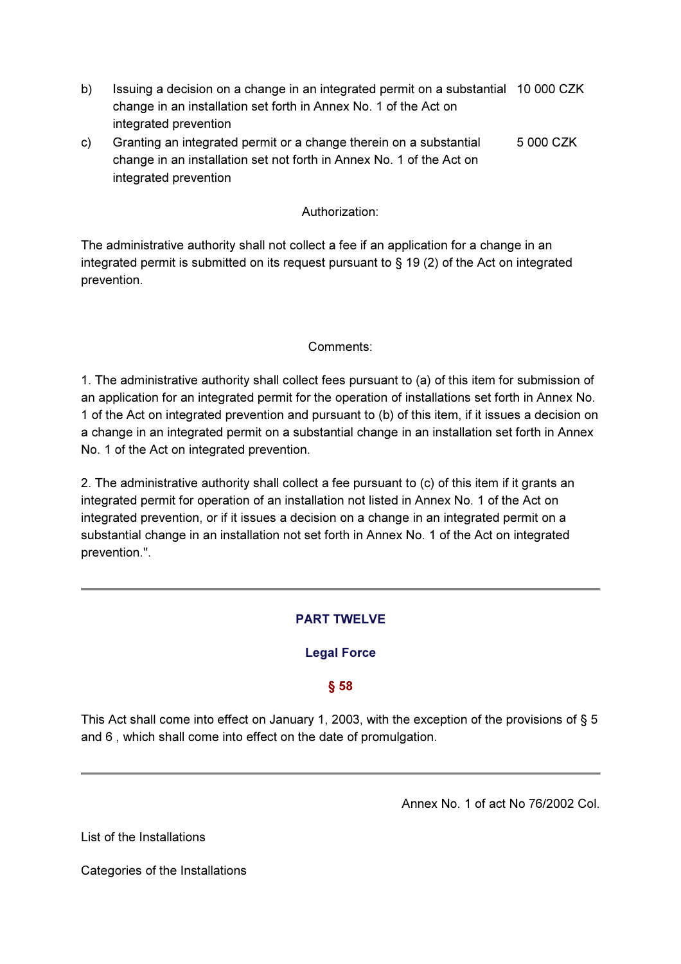- b) Issuing a decision on a change in an integrated permit on a substantial 10 000 CZK change in an installation set forth in Annex No. 1 of the Act on integrated prevention
- c) Granting an integrated permit or a change therein on a substantial change in an installation set not forth in Annex No. 1 of the Act on integrated prevention 5 000 CZK

### Authorization:

The administrative authority shall not collect a fee if an application for a change in an integrated permit is submitted on its request pursuant to § 19 (2) of the Act on integrated prevention.

### Comments:

1. The administrative authority shall collect fees pursuant to (a) of this item for submission of an application for an integrated permit for the operation of installations set forth in Annex No. 1 of the Act on integrated prevention and pursuant to (b) of this item, if it issues a decision on a change in an integrated permit on a substantial change in an installation set forth in Annex No. 1 of the Act on integrated prevention.

2. The administrative authority shall collect a fee pursuant to (c) of this item if it grants an integrated permit for operation of an installation not listed in Annex No. 1 of the Act on integrated prevention, or if it issues a decision on a change in an integrated permit on a substantial change in an installation not set forth in Annex No. 1 of the Act on integrated prevention.".

# PART TWELVE

# Legal Force

# § 58

This Act shall come into effect on January 1, 2003, with the exception of the provisions of § 5 and 6 , which shall come into effect on the date of promulgation.

Annex No. 1 of act No 76/2002 Col.

List of the Installations

Categories of the Installations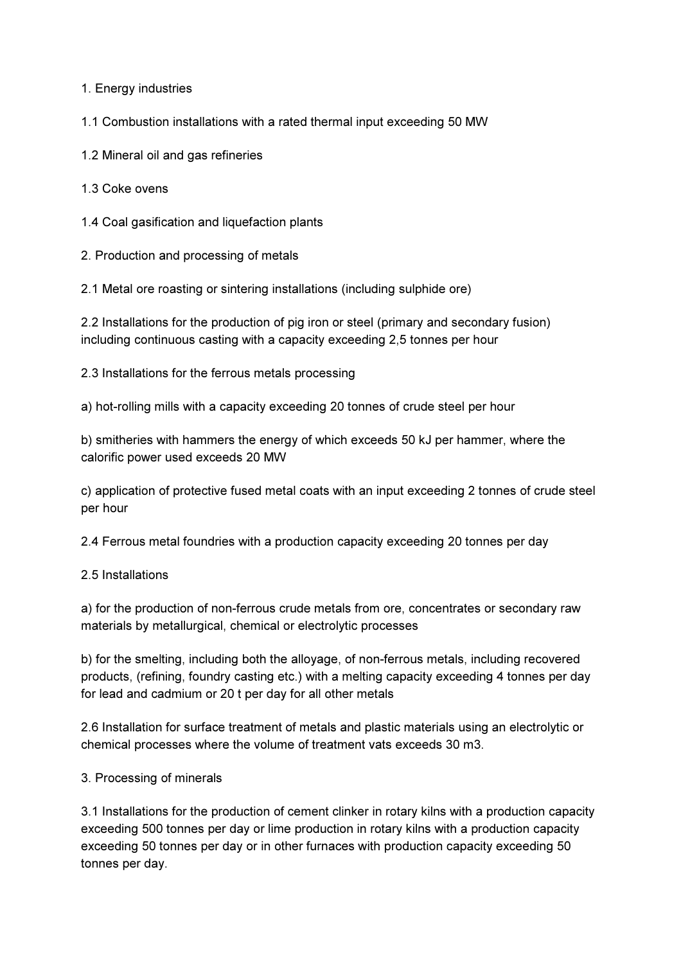1. Energy industries

1.1 Combustion installations with a rated thermal input exceeding 50 MW

1.2 Mineral oil and gas refineries

1.3 Coke ovens

1.4 Coal gasification and liquefaction plants

2. Production and processing of metals

2.1 Metal ore roasting or sintering installations (including sulphide ore)

2.2 Installations for the production of pig iron or steel (primary and secondary fusion) including continuous casting with a capacity exceeding 2,5 tonnes per hour

2.3 Installations for the ferrous metals processing

a) hot-rolling mills with a capacity exceeding 20 tonnes of crude steel per hour

b) smitheries with hammers the energy of which exceeds 50 kJ per hammer, where the calorific power used exceeds 20 MW

c) application of protective fused metal coats with an input exceeding 2 tonnes of crude steel per hour

2.4 Ferrous metal foundries with a production capacity exceeding 20 tonnes per day

### 2.5 Installations

a) for the production of non-ferrous crude metals from ore, concentrates or secondary raw materials by metallurgical, chemical or electrolytic processes

b) for the smelting, including both the alloyage, of non-ferrous metals, including recovered products, (refining, foundry casting etc.) with a melting capacity exceeding 4 tonnes per day for lead and cadmium or 20 t per day for all other metals

2.6 Installation for surface treatment of metals and plastic materials using an electrolytic or chemical processes where the volume of treatment vats exceeds 30 m3.

### 3. Processing of minerals

3.1 Installations for the production of cement clinker in rotary kilns with a production capacity exceeding 500 tonnes per day or lime production in rotary kilns with a production capacity exceeding 50 tonnes per day or in other furnaces with production capacity exceeding 50 tonnes per day.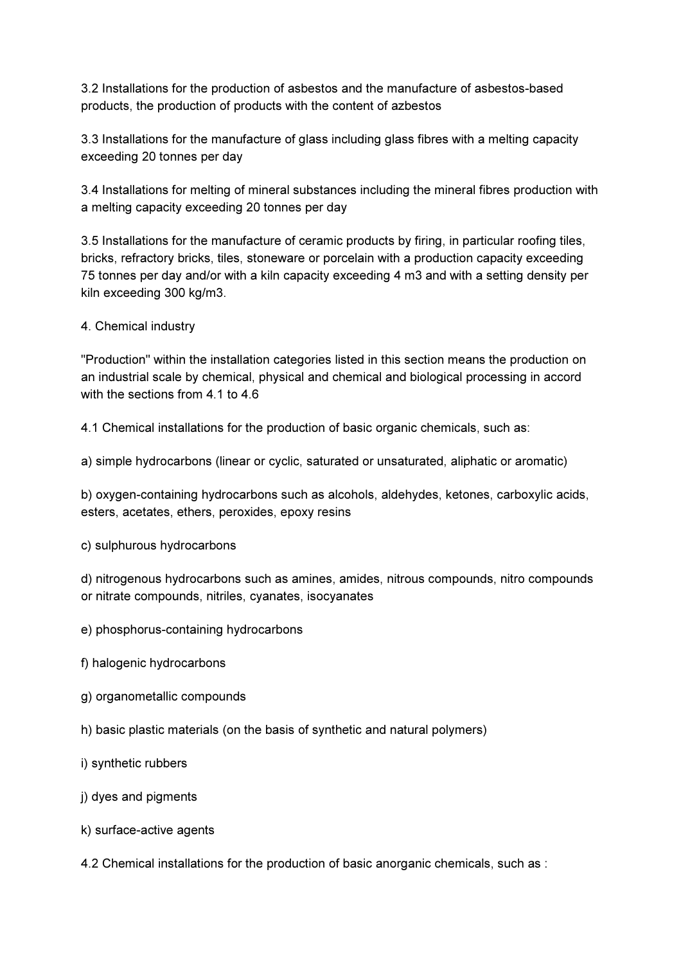3.2 Installations for the production of asbestos and the manufacture of asbestos-based products, the production of products with the content of azbestos

3.3 Installations for the manufacture of glass including glass fibres with a melting capacity exceeding 20 tonnes per day

3.4 Installations for melting of mineral substances including the mineral fibres production with a melting capacity exceeding 20 tonnes per day

3.5 Installations for the manufacture of ceramic products by firing, in particular roofing tiles, bricks, refractory bricks, tiles, stoneware or porcelain with a production capacity exceeding 75 tonnes per day and/or with a kiln capacity exceeding 4 m3 and with a setting density per kiln exceeding 300 kg/m3.

4. Chemical industry

"Production" within the installation categories listed in this section means the production on an industrial scale by chemical, physical and chemical and biological processing in accord with the sections from 4.1 to 4.6

4.1 Chemical installations for the production of basic organic chemicals, such as:

a) simple hydrocarbons (linear or cyclic, saturated or unsaturated, aliphatic or aromatic)

b) oxygen-containing hydrocarbons such as alcohols, aldehydes, ketones, carboxylic acids, esters, acetates, ethers, peroxides, epoxy resins

c) sulphurous hydrocarbons

d) nitrogenous hydrocarbons such as amines, amides, nitrous compounds, nitro compounds or nitrate compounds, nitriles, cyanates, isocyanates

- e) phosphorus-containing hydrocarbons
- f) halogenic hydrocarbons
- g) organometallic compounds
- h) basic plastic materials (on the basis of synthetic and natural polymers)
- i) synthetic rubbers
- j) dyes and pigments
- k) surface-active agents
- 4.2 Chemical installations for the production of basic anorganic chemicals, such as :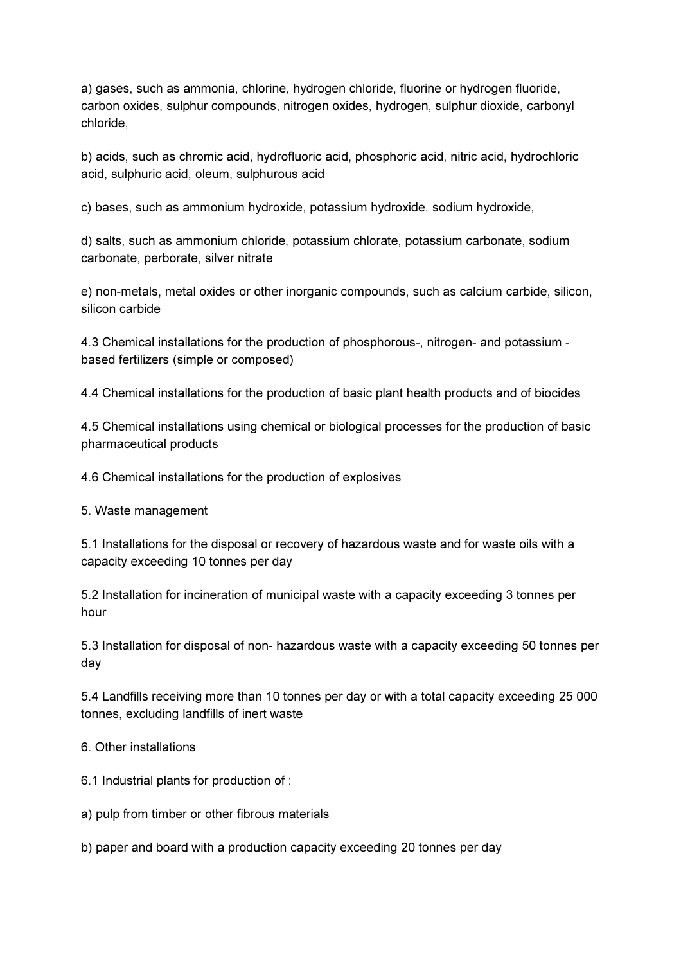a) gases, such as ammonia, chlorine, hydrogen chloride, fluorine or hydrogen fluoride, carbon oxides, sulphur compounds, nitrogen oxides, hydrogen, sulphur dioxide, carbonyl chloride,

b) acids, such as chromic acid, hydrofluoric acid, phosphoric acid, nitric acid, hydrochloric acid, sulphuric acid, oleum, sulphurous acid

c) bases, such as ammonium hydroxide, potassium hydroxide, sodium hydroxide,

d) salts, such as ammonium chloride, potassium chlorate, potassium carbonate, sodium carbonate, perborate, silver nitrate

e) non-metals, metal oxides or other inorganic compounds, such as calcium carbide, silicon, silicon carbide

4.3 Chemical installations for the production of phosphorous-, nitrogen- and potassium based fertilizers (simple or composed)

4.4 Chemical installations for the production of basic plant health products and of biocides

4.5 Chemical installations using chemical or biological processes for the production of basic pharmaceutical products

4.6 Chemical installations for the production of explosives

5. Waste management

5.1 Installations for the disposal or recovery of hazardous waste and for waste oils with a capacity exceeding 10 tonnes per day

5.2 Installation for incineration of municipal waste with a capacity exceeding 3 tonnes per hour

5.3 Installation for disposal of non- hazardous waste with a capacity exceeding 50 tonnes per day

5.4 Landfills receiving more than 10 tonnes per day or with a total capacity exceeding 25 000 tonnes, excluding landfills of inert waste

6. Other installations

6.1 Industrial plants for production of :

a) pulp from timber or other fibrous materials

b) paper and board with a production capacity exceeding 20 tonnes per day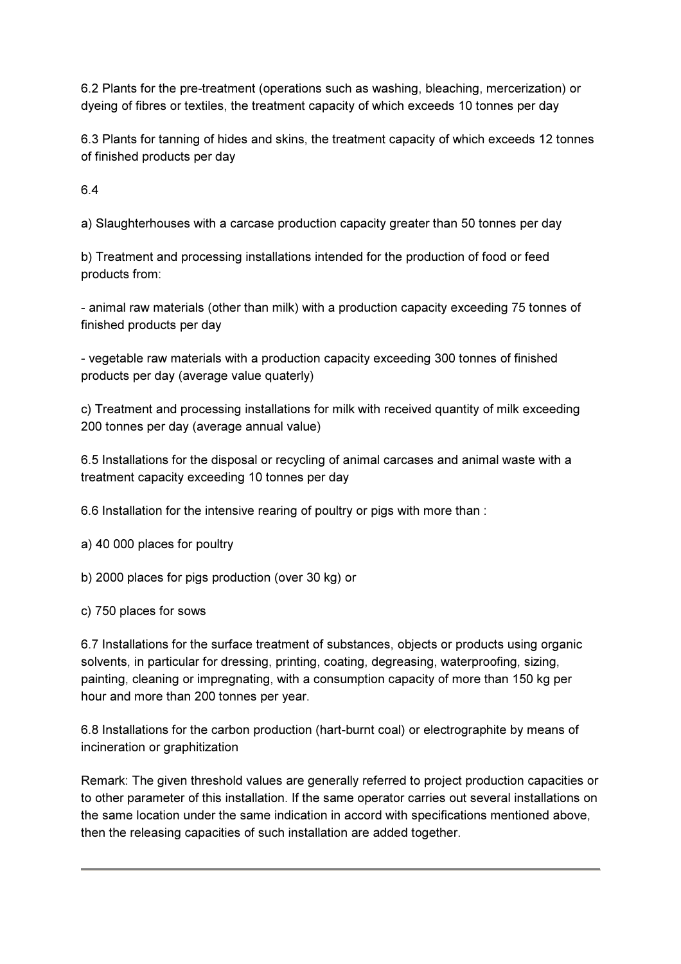6.2 Plants for the pre-treatment (operations such as washing, bleaching, mercerization) or dyeing of fibres or textiles, the treatment capacity of which exceeds 10 tonnes per day

6.3 Plants for tanning of hides and skins, the treatment capacity of which exceeds 12 tonnes of finished products per day

6.4

a) Slaughterhouses with a carcase production capacity greater than 50 tonnes per day

b) Treatment and processing installations intended for the production of food or feed products from:

- animal raw materials (other than milk) with a production capacity exceeding 75 tonnes of finished products per day

- vegetable raw materials with a production capacity exceeding 300 tonnes of finished products per day (average value quaterly)

c) Treatment and processing installations for milk with received quantity of milk exceeding 200 tonnes per day (average annual value)

6.5 Installations for the disposal or recycling of animal carcases and animal waste with a treatment capacity exceeding 10 tonnes per day

6.6 Installation for the intensive rearing of poultry or pigs with more than :

a) 40 000 places for poultry

b) 2000 places for pigs production (over 30 kg) or

c) 750 places for sows

6.7 Installations for the surface treatment of substances, objects or products using organic solvents, in particular for dressing, printing, coating, degreasing, waterproofing, sizing, painting, cleaning or impregnating, with a consumption capacity of more than 150 kg per hour and more than 200 tonnes per year.

6.8 Installations for the carbon production (hart-burnt coal) or electrographite by means of incineration or graphitization

Remark: The given threshold values are generally referred to project production capacities or to other parameter of this installation. If the same operator carries out several installations on the same location under the same indication in accord with specifications mentioned above, then the releasing capacities of such installation are added together.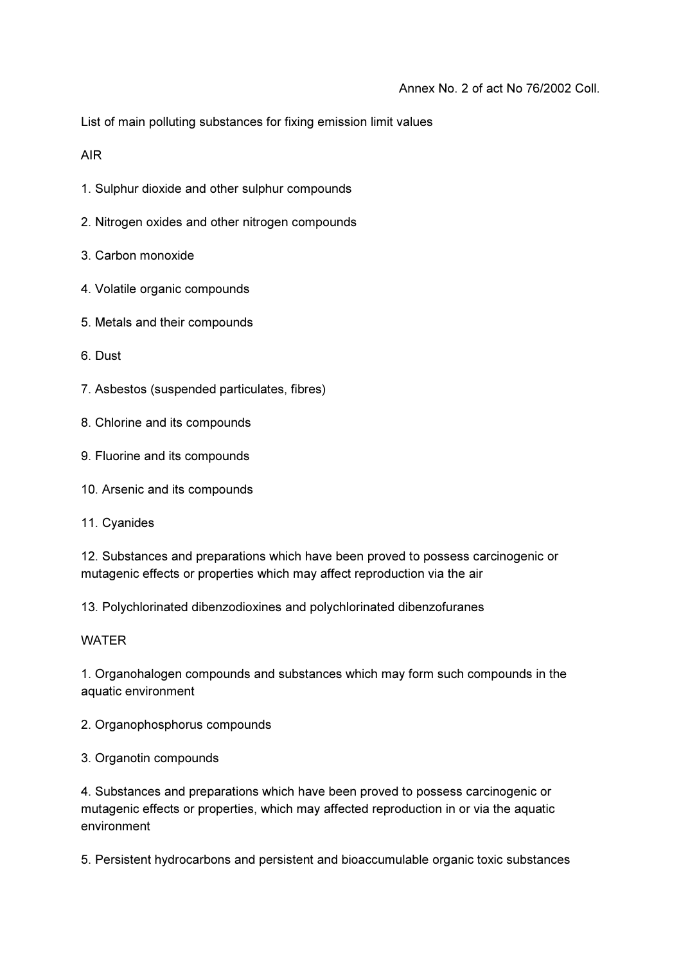List of main polluting substances for fixing emission limit values

AIR

- 1. Sulphur dioxide and other sulphur compounds
- 2. Nitrogen oxides and other nitrogen compounds
- 3. Carbon monoxide
- 4. Volatile organic compounds
- 5. Metals and their compounds
- 6. Dust
- 7. Asbestos (suspended particulates, fibres)
- 8. Chlorine and its compounds
- 9. Fluorine and its compounds
- 10. Arsenic and its compounds
- 11. Cyanides

12. Substances and preparations which have been proved to possess carcinogenic or mutagenic effects or properties which may affect reproduction via the air

13. Polychlorinated dibenzodioxines and polychlorinated dibenzofuranes

### **WATER**

1. Organohalogen compounds and substances which may form such compounds in the aquatic environment

2. Organophosphorus compounds

3. Organotin compounds

4. Substances and preparations which have been proved to possess carcinogenic or mutagenic effects or properties, which may affected reproduction in or via the aquatic environment

5. Persistent hydrocarbons and persistent and bioaccumulable organic toxic substances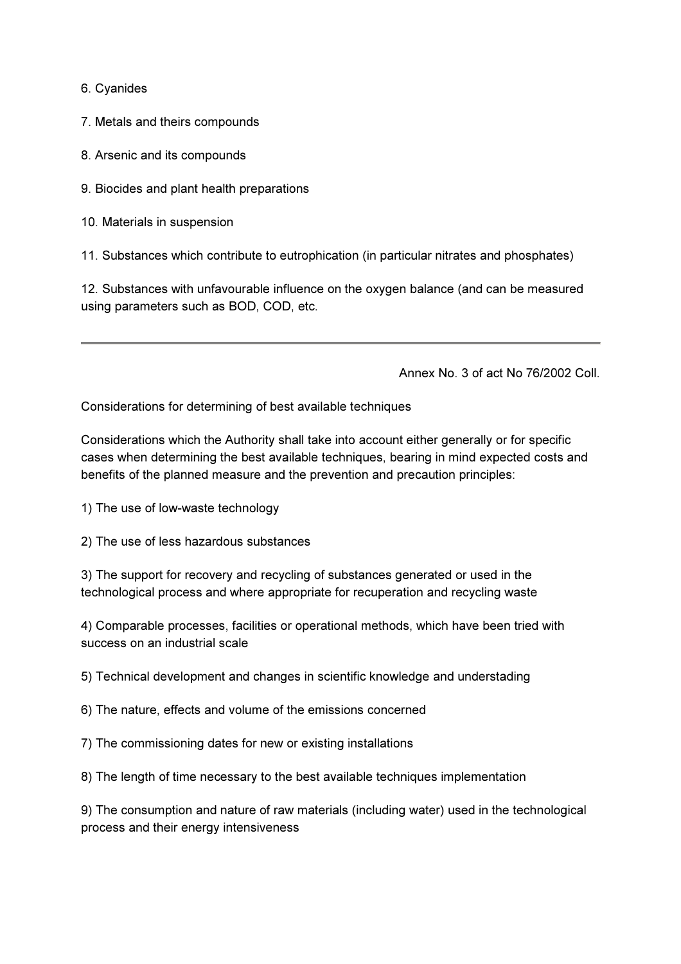6. Cyanides

7. Metals and theirs compounds

8. Arsenic and its compounds

9. Biocides and plant health preparations

10. Materials in suspension

11. Substances which contribute to eutrophication (in particular nitrates and phosphates)

12. Substances with unfavourable influence on the oxygen balance (and can be measured using parameters such as BOD, COD, etc.

Annex No. 3 of act No 76/2002 Coll.

Considerations for determining of best available techniques

Considerations which the Authority shall take into account either generally or for specific cases when determining the best available techniques, bearing in mind expected costs and benefits of the planned measure and the prevention and precaution principles:

- 1) The use of low-waste technology
- 2) The use of less hazardous substances

3) The support for recovery and recycling of substances generated or used in the technological process and where appropriate for recuperation and recycling waste

4) Comparable processes, facilities or operational methods, which have been tried with success on an industrial scale

5) Technical development and changes in scientific knowledge and understading

6) The nature, effects and volume of the emissions concerned

7) The commissioning dates for new or existing installations

8) The length of time necessary to the best available techniques implementation

9) The consumption and nature of raw materials (including water) used in the technological process and their energy intensiveness